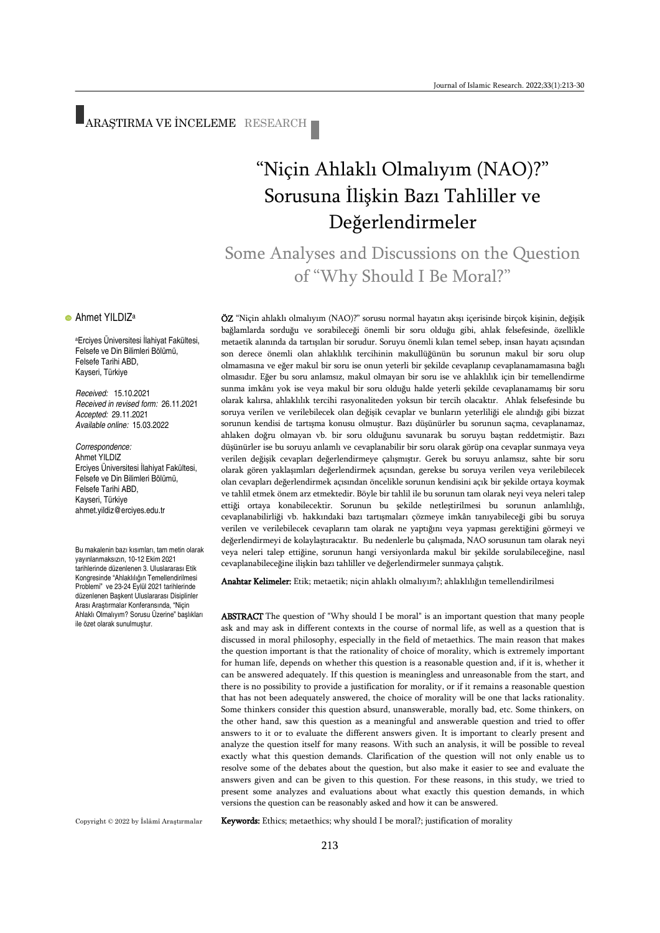ARAŞTIRMA VE İNCELEME RESEARCH

# "Niçin Ahlaklı Olmalıyım (NAO)?" Sorusuna İlişkin Bazı Tahliller ve Değerlendirmeler

Some Analyses and Discussions on the Question of "Why Should I Be Moral?"

ÖZ "Niçin ahlaklı olmalıyım (NAO)?" sorusu normal hayatın akışı içerisinde birçok kişinin, değişik bağlamlarda sorduğu ve sorabileceği önemli bir soru olduğu gibi, ahlak felsefesinde, özellikle metaetik alanında da tartışılan bir sorudur. Soruyu önemli kılan temel sebep, insan hayatı açısından son derece önemli olan ahlaklılık tercihinin makullüğünün bu sorunun makul bir soru olup olmamasına ve eğer makul bir soru ise onun yeterli bir şekilde cevaplanıp cevaplanamamasına bağlı olmasıdır. Eğer bu soru anlamsız, makul olmayan bir soru ise ve ahlaklılık için bir temellendirme sunma imkânı yok ise veya makul bir soru olduğu halde yeterli şekilde cevaplanamamış bir soru olarak kalırsa, ahlaklılık tercihi rasyonaliteden yoksun bir tercih olacaktır. Ahlak felsefesinde bu soruya verilen ve verilebilecek olan değişik cevaplar ve bunların yeterliliği ele alındığı gibi bizzat sorunun kendisi de tartışma konusu olmuştur. Bazı düşünürler bu sorunun saçma, cevaplanamaz, ahlaken doğru olmayan vb. bir soru olduğunu savunarak bu soruyu baştan reddetmiştir. Bazı düşünürler ise bu soruyu anlamlı ve cevaplanabilir bir soru olarak görüp ona cevaplar sunmaya veya verilen değişik cevapları değerlendirmeye çalışmıştır. Gerek bu soruyu anlamsız, sahte bir soru olarak gören yaklaşımları değerlendirmek açısından, gerekse bu soruya verilen veya verilebilecek olan cevapları değerlendirmek açısından öncelikle sorunun kendisini açık bir şekilde ortaya koymak ve tahlil etmek önem arz etmektedir. Böyle bir tahlil ile bu sorunun tam olarak neyi veya neleri talep ettiği ortaya konabilecektir. Sorunun bu şekilde netleştirilmesi bu sorunun anlamlılığı, cevaplanabilirliği vb. hakkındaki bazı tartışmaları çözmeye imkân tanıyabileceği gibi bu soruya verilen ve verilebilecek cevapların tam olarak ne yaptığını veya yapması gerektiğini görmeyi ve değerlendirmeyi de kolaylaştıracaktır. Bu nedenlerle bu çalışmada, NAO sorusunun tam olarak neyi veya neleri talep ettiğine, sorunun hangi versiyonlarda makul bir şekilde sorulabileceğine, nasıl cevaplanabileceğine ilişkin bazı tahliller ve değerlendirmeler sunmaya çalıştık.

Anahtar Kelimeler: Etik; metaetik; niçin ahlaklı olmalıyım?; ahlaklılığın temellendirilmesi

ABSTRACT The question of "Why should I be moral" is an important question that many people ask and may ask in different contexts in the course of normal life, as well as a question that is discussed in moral philosophy, especially in the field of metaethics. The main reason that makes the question important is that the rationality of choice of morality, which is extremely important for human life, depends on whether this question is a reasonable question and, if it is, whether it can be answered adequately. If this question is meaningless and unreasonable from the start, and there is no possibility to provide a justification for morality, or if it remains a reasonable question that has not been adequately answered, the choice of morality will be one that lacks rationality. Some thinkers consider this question absurd, unanswerable, morally bad, etc. Some thinkers, on the other hand, saw this question as a meaningful and answerable question and tried to offer answers to it or to evaluate the different answers given. It is important to clearly present and analyze the question itself for many reasons. With such an analysis, it will be possible to reveal exactly what this question demands. Clarification of the question will not only enable us to resolve some of the debates about the question, but also make it easier to see and evaluate the answers given and can be given to this question. For these reasons, in this study, we tried to present some analyzes and evaluations about what exactly this question demands, in which versions the question can be reasonably asked and how it can be answered.

Copyright © 2022 by İslâmî Araştırmalar

Keywords: Ethics; metaethics; why should I be moral?; justification of morality

#### **•** Ahmet YILDIZ<sup>a</sup>

<sup>a</sup>Erciyes Üniversitesi İlahiyat Fakültesi, Felsefe ve Din Bilimleri Bölümü, Felsefe Tarihi ABD, Kayseri, Türkiye

*Received:* 15.10.2021 *Received in revised form:* 26.11.2021 *Accepted:* 29.11.2021 *Available online:* 15.03.2022

*Correspondence:* Ahmet YILDIZ Erciyes Üniversitesi İlahiyat Fakültesi, Felsefe ve Din Bilimleri Bölümü, Felsefe Tarihi ABD, Kayseri, Türkiye [ahmet.yildiz@erciyes.edu.tr](mailto:ahmet.yildiz@erciyes.edu.tr)

Bu makalenin bazı kısımları, tam metin olarak yayınlanmaksızın, 10-12 Ekim 2021 tarihlerinde düzenlenen 3. Uluslararası Etik Kongresinde "Ahlaklılığın Temellendirilmesi Problemi" ve 23-24 Eylül 2021 tarihlerinde düzenlenen Başkent Uluslararası Disiplinler Arası Araştırmalar Konferansında, "Niçin Ahlaklı Olmalıyım? Sorusu Üzerine" başlıkları ile özet olarak sunulmuştur.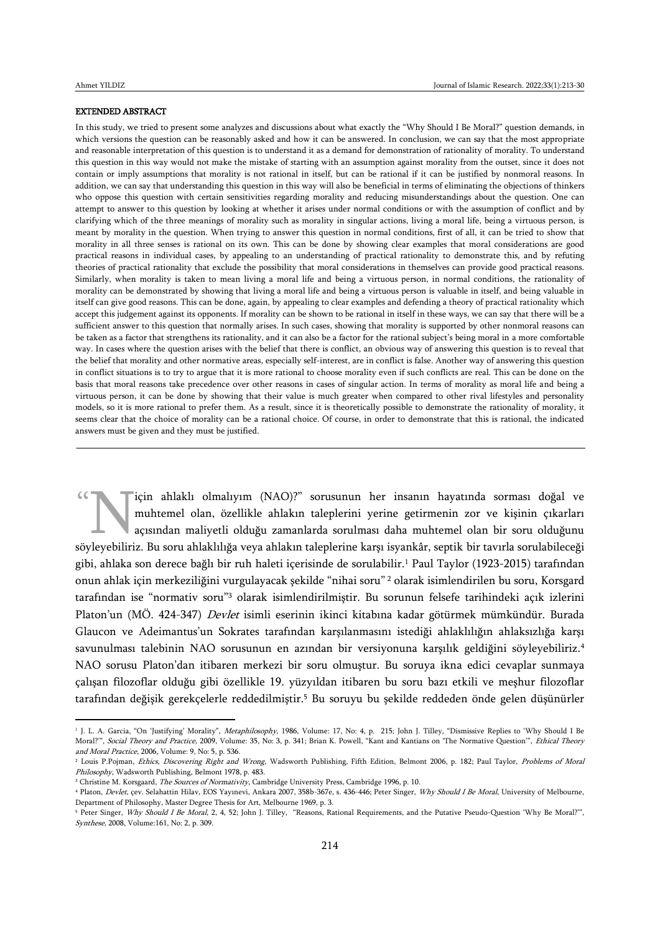1

 $\overline{a}$ 

#### EXTENDED ABSTRACT

In this study, we tried to present some analyzes and discussions about what exactly the "Why Should I Be Moral?" question demands, in which versions the question can be reasonably asked and how it can be answered. In conclusion, we can say that the most appropriate and reasonable interpretation of this question is to understand it as a demand for demonstration of rationality of morality. To understand this question in this way would not make the mistake of starting with an assumption against morality from the outset, since it does not contain or imply assumptions that morality is not rational in itself, but can be rational if it can be justified by nonmoral reasons. In addition, we can say that understanding this question in this way will also be beneficial in terms of eliminating the objections of thinkers who oppose this question with certain sensitivities regarding morality and reducing misunderstandings about the question. One can attempt to answer to this question by looking at whether it arises under normal conditions or with the assumption of conflict and by clarifying which of the three meanings of morality such as morality in singular actions, living a moral life, being a virtuous person, is meant by morality in the question. When trying to answer this question in normal conditions, first of all, it can be tried to show that morality in all three senses is rational on its own. This can be done by showing clear examples that moral considerations are good practical reasons in individual cases, by appealing to an understanding of practical rationality to demonstrate this, and by refuting theories of practical rationality that exclude the possibility that moral considerations in themselves can provide good practical reasons. Similarly, when morality is taken to mean living a moral life and being a virtuous person, in normal conditions, the rationality of morality can be demonstrated by showing that living a moral life and being a virtuous person is valuable in itself, and being valuable in itself can give good reasons. This can be done, again, by appealing to clear examples and defending a theory of practical rationality which accept this judgement against its opponents. If morality can be shown to be rational in itself in these ways, we can say that there will be a sufficient answer to this question that normally arises. In such cases, showing that morality is supported by other nonmoral reasons can be taken as a factor that strengthens its rationality, and it can also be a factor for the rational subject's being moral in a more comfortable way. In cases where the question arises with the belief that there is conflict, an obvious way of answering this question is to reveal that the belief that morality and other normative areas, especially self-interest, are in conflict is false. Another way of answering this question in conflict situations is to try to argue that it is more rational to choose morality even if such conflicts are real. This can be done on the basis that moral reasons take precedence over other reasons in cases of singular action. In terms of morality as moral life and being a virtuous person, it can be done by showing that their value is much greater when compared to other rival lifestyles and personality models, so it is more rational to prefer them. As a result, since it is theoretically possible to demonstrate the rationality of morality, it seems clear that the choice of morality can be a rational choice. Of course, in order to demonstrate that this is rational, the indicated answers must be given and they must be justified.

için ahlaklı olmalıyım (NAO)?" sorusunun her insanın hayatında sorması doğal ve muhtemel olan, özellikle ahlakın taleplerini yerine getirmenin zor ve kişinin çıkarları açısından maliyetli olduğu zamanlarda sorulması daha muhtemel olan bir soru olduğunu söyleyebiliriz. Bu soru ahlaklılığa veya ahlakın taleplerini yerine getirmenin zor ve kişinin çıkarları açısından maliyetli olduğu zamanlarda sorulması daha muhtemel olan bir soru olduğunu söyleyebiliriz. Bu soru ahlaklılı gibi, ahlaka son derece bağlı bir ruh haleti içerisinde de sorulabilir.<sup>1</sup> Paul Taylor (1923-2015) tarafından onun ahlak için merkeziliğini vurgulayacak şekilde "nihai soru" <sup>2</sup> olarak isimlendirilen bu soru, Korsgard tarafından ise "normativ soru"<sup>3</sup> olarak isimlendirilmiştir. Bu sorunun felsefe tarihindeki açık izlerini Platon'un (MÖ. 424-347) Devlet isimli eserinin ikinci kitabına kadar götürmek mümkündür. Burada Glaucon ve Adeimantus'un Sokrates tarafından karşılanmasını istediği ahlaklılığın ahlaksızlığa karşı savunulması talebinin NAO sorusunun en azından bir versiyonuna karşılık geldiğini söyleyebiliriz.<sup>4</sup> NAO sorusu Platon'dan itibaren merkezi bir soru olmuştur. Bu soruya ikna edici cevaplar sunmaya çalışan filozoflar olduğu gibi özellikle 19. yüzyıldan itibaren bu soru bazı etkili ve meşhur filozoflar tarafından değişik gerekçelerle reddedilmiştir.<sup>5</sup> Bu soruyu bu şekilde reddeden önde gelen düşünürler

<sup>&</sup>lt;sup>1</sup> J. L. A. Garcia, "On 'Justifying' Morality", *Metaphilosophy,* 1986, Volume: 17, No: 4, p. 215; John J. Tilley, "Dismissive Replies to 'Why Should I Be Moral?", Social Theory and Practice, 2009, Volume: 35, No: 3, p. 341; Brian K. Powell, "Kant and Kantians on 'The Normative Question'", Ethical Theory and Moral Practice, 2006, Volume: 9, No: 5, p. 536.

<sup>&</sup>lt;sup>2</sup> Louis P.Pojman, Ethics, Discovering Right and Wrong, Wadsworth Publishing, Fifth Edition, Belmont 2006, p. 182; Paul Taylor, Problems of Moral Philosophy, Wadsworth Publishing, Belmont 1978, p. 483.

<sup>&</sup>lt;sup>3</sup> Christine M. Korsgaard, *The Sources of Normativity*, Cambridge University Press, Cambridge 1996, p. 10.

<sup>&</sup>lt;sup>4</sup> Platon, Devlet, çev. Selahattin Hilav, EOS Yayınevi, Ankara 2007, 358b-367e, s. 436-446; Peter Singer, Why Should I Be Moral, University of Melbourne, Department of Philosophy, Master Degree Thesis for Art, Melbourne 1969, p. 3.

<sup>&</sup>lt;sup>5</sup> Peter Singer, Why Should I Be Moral, 2, 4, 52; John J. Tilley, "Reasons, Rational Requirements, and the Putative Pseudo-Question 'Why Be Moral?", Synthese, 2008, Volume:161, No: 2, p. 309.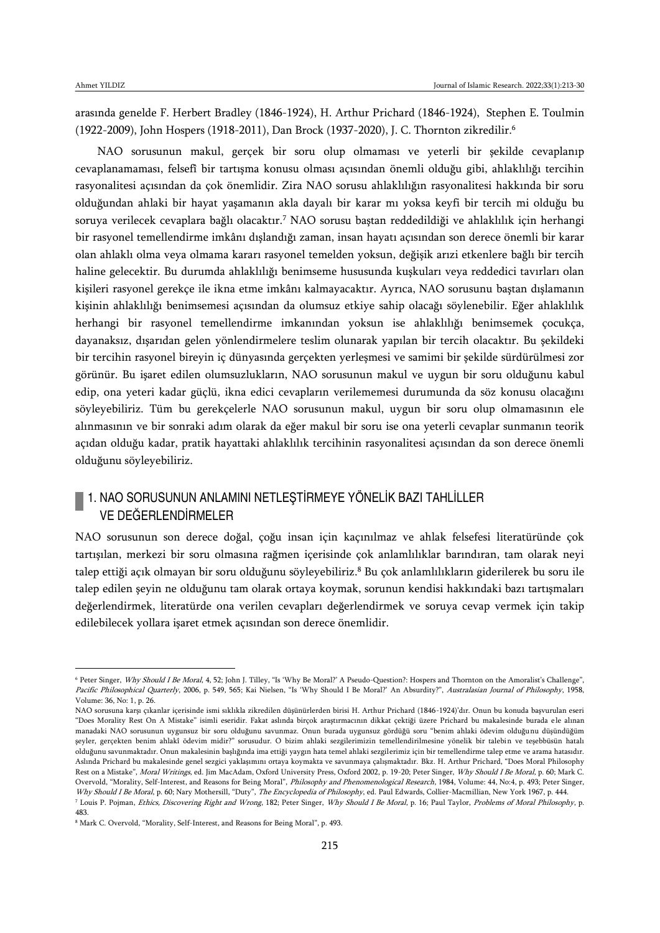$\overline{a}$ 

arasında genelde F. Herbert Bradley (1846-1924), H. Arthur Prichard (1846-1924), Stephen E. Toulmin (1922-2009), John Hospers (1918-2011), Dan Brock (1937-2020), J. C. Thornton zikredilir.<sup>6</sup>

NAO sorusunun makul, gerçek bir soru olup olmaması ve yeterli bir şekilde cevaplanıp cevaplanamaması, felsefî bir tartışma konusu olması açısından önemli olduğu gibi, ahlaklılığı tercihin rasyonalitesi açısından da çok önemlidir. Zira NAO sorusu ahlaklılığın rasyonalitesi hakkında bir soru olduğundan ahlaki bir hayat yaşamanın akla dayalı bir karar mı yoksa keyfi bir tercih mi olduğu bu soruya verilecek cevaplara bağlı olacaktır.<sup>7</sup> NAO sorusu baştan reddedildiği ve ahlaklılık için herhangi bir rasyonel temellendirme imkânı dışlandığı zaman, insan hayatı açısından son derece önemli bir karar olan ahlaklı olma veya olmama kararı rasyonel temelden yoksun, değişik arızi etkenlere bağlı bir tercih haline gelecektir. Bu durumda ahlaklılığı benimseme hususunda kuşkuları veya reddedici tavırları olan kişileri rasyonel gerekçe ile ikna etme imkânı kalmayacaktır. Ayrıca, NAO sorusunu baştan dışlamanın kişinin ahlaklılığı benimsemesi açısından da olumsuz etkiye sahip olacağı söylenebilir. Eğer ahlaklılık herhangi bir rasyonel temellendirme imkanından yoksun ise ahlaklılığı benimsemek çocukça, dayanaksız, dışarıdan gelen yönlendirmelere teslim olunarak yapılan bir tercih olacaktır. Bu şekildeki bir tercihin rasyonel bireyin iç dünyasında gerçekten yerleşmesi ve samimi bir şekilde sürdürülmesi zor görünür. Bu işaret edilen olumsuzlukların, NAO sorusunun makul ve uygun bir soru olduğunu kabul edip, ona yeteri kadar güçlü, ikna edici cevapların verilememesi durumunda da söz konusu olacağını söyleyebiliriz. Tüm bu gerekçelerle NAO sorusunun makul, uygun bir soru olup olmamasının ele alınmasının ve bir sonraki adım olarak da eğer makul bir soru ise ona yeterli cevaplar sunmanın teorik açıdan olduğu kadar, pratik hayattaki ahlaklılık tercihinin rasyonalitesi açısından da son derece önemli olduğunu söyleyebiliriz.

### 1. NAO SORUSUNUN ANLAMINI NETLEŞTİRMEYE YÖNELİK BAZI TAHLİLLER VE DEĞERLENDİRMELER

NAO sorusunun son derece doğal, çoğu insan için kaçınılmaz ve ahlak felsefesi literatüründe çok tartışılan, merkezi bir soru olmasına rağmen içerisinde çok anlamlılıklar barındıran, tam olarak neyi talep ettiği açık olmayan bir soru olduğunu söyleyebiliriz.<sup>8</sup> Bu çok anlamlılıkların giderilerek bu soru ile talep edilen şeyin ne olduğunu tam olarak ortaya koymak, sorunun kendisi hakkındaki bazı tartışmaları değerlendirmek, literatürde ona verilen cevapları değerlendirmek ve soruya cevap vermek için takip edilebilecek yollara işaret etmek açısından son derece önemlidir.

<sup>&</sup>lt;sup>6</sup> Peter Singer, Why Should I Be Moral, 4, 52; John J. Tilley, "Is 'Why Be Moral?' A Pseudo-Question?: Hospers and Thornton on the Amoralist's Challenge", Pacific Philosophical Quarterly, 2006, p. 549, 565; Kai Nielsen, "Is 'Why Should I Be Moral?' An Absurdity?", Australasian Journal of Philosophy, 1958, Volume: 36, No: 1, p. 26.

NAO sorusuna karşı çıkanlar içerisinde ismi sıklıkla zikredilen düşünürlerden birisi H. Arthur Prichard (1846-1924)'dır. Onun bu konuda başvurulan eseri "Does Morality Rest On A Mistake" isimli eseridir. Fakat aslında birçok araştırmacının dikkat çektiği üzere Prichard bu makalesinde burada ele alınan manadaki NAO sorusunun uygunsuz bir soru olduğunu savunmaz. Onun burada uygunsuz gördüğü soru "benim ahlaki ödevim olduğunu düşündüğüm şeyler, gerçekten benim ahlakî ödevim midir?" sorusudur. O bizim ahlaki sezgilerimizin temellendirilmesine yönelik bir talebin ve teşebbüsün hatalı olduğunu savunmaktadır. Onun makalesinin başlığında ima ettiği yaygın hata temel ahlaki sezgilerimiz için bir temellendirme talep etme ve arama hatasıdır. Aslında Prichard bu makalesinde genel sezgici yaklaşımını ortaya koymakta ve savunmaya çalışmaktadır. Bkz. H. Arthur Prichard, "Does Moral Philosophy Rest on a Mistake", Moral Writings, ed. Jim MacAdam, Oxford University Press, Oxford 2002, p. 19-20; Peter Singer, Why Should I Be Moral, p. 60; Mark C. Overvold, "Morality, Self-Interest, and Reasons for Being Moral", Philosophy and Phenomenological Research, 1984, Volume: 44, No:4, p. 493; Peter Singer, Why Should I Be Moral, p. 60; Nary Mothersill, "Duty", The Encyclopedia of Philosophy, ed. Paul Edwards, Collier-Macmillian, New York 1967, p. 444.

<sup>7</sup> Louis P. Pojman, Ethics, Discovering Right and Wrong, 182; Peter Singer, Why Should I Be Moral, p. 16; Paul Taylor, Problems of Moral Philosophy, p. 483.

<sup>8</sup> Mark C. Overvold, "Morality, Self-Interest, and Reasons for Being Moral", p. 493.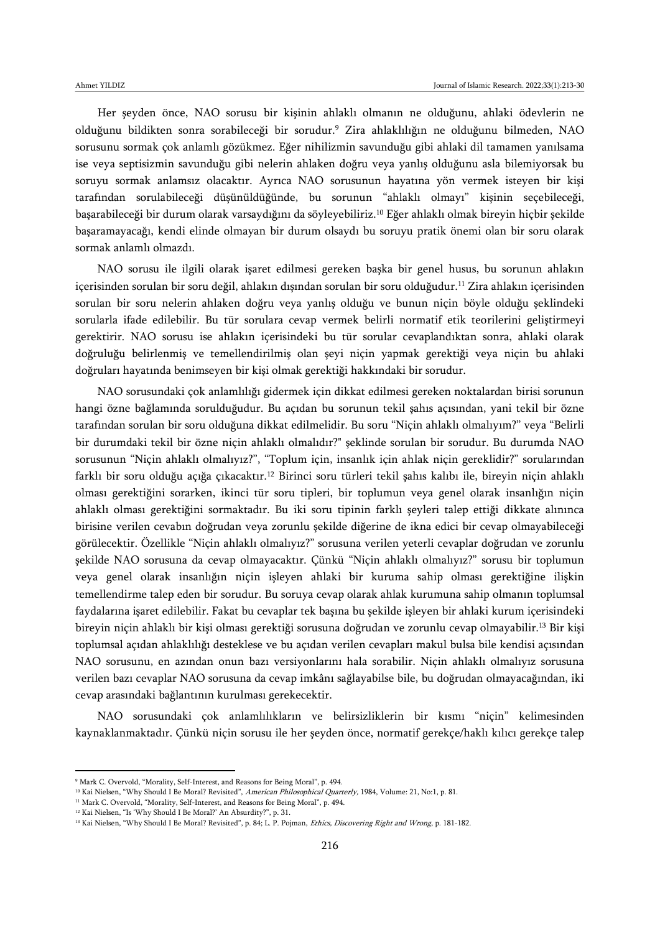Her şeyden önce, NAO sorusu bir kişinin ahlaklı olmanın ne olduğunu, ahlaki ödevlerin ne olduğunu bildikten sonra sorabileceği bir sorudur.<sup>9</sup> Zira ahlaklılığın ne olduğunu bilmeden, NAO sorusunu sormak çok anlamlı gözükmez. Eğer nihilizmin savunduğu gibi ahlaki dil tamamen yanılsama ise veya septisizmin savunduğu gibi nelerin ahlaken doğru veya yanlış olduğunu asla bilemiyorsak bu soruyu sormak anlamsız olacaktır. Ayrıca NAO sorusunun hayatına yön vermek isteyen bir kişi tarafından sorulabileceği düşünüldüğünde, bu sorunun "ahlaklı olmayı" kişinin seçebileceği, başarabileceği bir durum olarak varsaydığını da söyleyebiliriz.<sup>10</sup> Eğer ahlaklı olmak bireyin hiçbir şekilde başaramayacağı, kendi elinde olmayan bir durum olsaydı bu soruyu pratik önemi olan bir soru olarak sormak anlamlı olmazdı.

NAO sorusu ile ilgili olarak işaret edilmesi gereken başka bir genel husus, bu sorunun ahlakın içerisinden sorulan bir soru değil, ahlakın dışından sorulan bir soru olduğudur.<sup>11</sup> Zira ahlakın içerisinden sorulan bir soru nelerin ahlaken doğru veya yanlış olduğu ve bunun niçin böyle olduğu şeklindeki sorularla ifade edilebilir. Bu tür sorulara cevap vermek belirli normatif etik teorilerini geliştirmeyi gerektirir. NAO sorusu ise ahlakın içerisindeki bu tür sorular cevaplandıktan sonra, ahlaki olarak doğruluğu belirlenmiş ve temellendirilmiş olan şeyi niçin yapmak gerektiği veya niçin bu ahlaki doğruları hayatında benimseyen bir kişi olmak gerektiği hakkındaki bir sorudur.

NAO sorusundaki çok anlamlılığı gidermek için dikkat edilmesi gereken noktalardan birisi sorunun hangi özne bağlamında sorulduğudur. Bu açıdan bu sorunun tekil şahıs açısından, yani tekil bir özne tarafından sorulan bir soru olduğuna dikkat edilmelidir. Bu soru "Niçin ahlaklı olmalıyım?" veya "Belirli bir durumdaki tekil bir özne niçin ahlaklı olmalıdır?" şeklinde sorulan bir sorudur. Bu durumda NAO sorusunun "Niçin ahlaklı olmalıyız?", "Toplum için, insanlık için ahlak niçin gereklidir?" sorularından farklı bir soru olduğu açığa çıkacaktır.<sup>12</sup> Birinci soru türleri tekil şahıs kalıbı ile, bireyin niçin ahlaklı olması gerektiğini sorarken, ikinci tür soru tipleri, bir toplumun veya genel olarak insanlığın niçin ahlaklı olması gerektiğini sormaktadır. Bu iki soru tipinin farklı şeyleri talep ettiği dikkate alınınca birisine verilen cevabın doğrudan veya zorunlu şekilde diğerine de ikna edici bir cevap olmayabileceği görülecektir. Özellikle "Niçin ahlaklı olmalıyız?" sorusuna verilen yeterli cevaplar doğrudan ve zorunlu şekilde NAO sorusuna da cevap olmayacaktır. Çünkü "Niçin ahlaklı olmalıyız?" sorusu bir toplumun veya genel olarak insanlığın niçin işleyen ahlaki bir kuruma sahip olması gerektiğine ilişkin temellendirme talep eden bir sorudur. Bu soruya cevap olarak ahlak kurumuna sahip olmanın toplumsal faydalarına işaret edilebilir. Fakat bu cevaplar tek başına bu şekilde işleyen bir ahlaki kurum içerisindeki bireyin niçin ahlaklı bir kişi olması gerektiği sorusuna doğrudan ve zorunlu cevap olmayabilir.<sup>13</sup> Bir kişi toplumsal açıdan ahlaklılığı desteklese ve bu açıdan verilen cevapları makul bulsa bile kendisi açısından NAO sorusunu, en azından onun bazı versiyonlarını hala sorabilir. Niçin ahlaklı olmalıyız sorusuna verilen bazı cevaplar NAO sorusuna da cevap imkânı sağlayabilse bile, bu doğrudan olmayacağından, iki cevap arasındaki bağlantının kurulması gerekecektir.

NAO sorusundaki çok anlamlılıkların ve belirsizliklerin bir kısmı "niçin" kelimesinden kaynaklanmaktadır. Çünkü niçin sorusu ile her şeyden önce, normatif gerekçe/haklı kılıcı gerekçe talep

<sup>9</sup> Mark C. Overvold, "Morality, Self-Interest, and Reasons for Being Moral", p. 494.

<sup>&</sup>lt;sup>10</sup> Kai Nielsen, "Why Should I Be Moral? Revisited", American Philosophical Quarterly, 1984, Volume: 21, No:1, p. 81.

<sup>&</sup>lt;sup>11</sup> Mark C. Overvold, "Morality, Self-Interest, and Reasons for Being Moral", p. 494.

<sup>12</sup> Kai Nielsen, "Is 'Why Should I Be Moral?' An Absurdity?", p. 31.

<sup>&</sup>lt;sup>13</sup> Kai Nielsen, "Why Should I Be Moral? Revisited", p. 84; L. P. Pojman, Ethics, Discovering Right and Wrong, p. 181-182.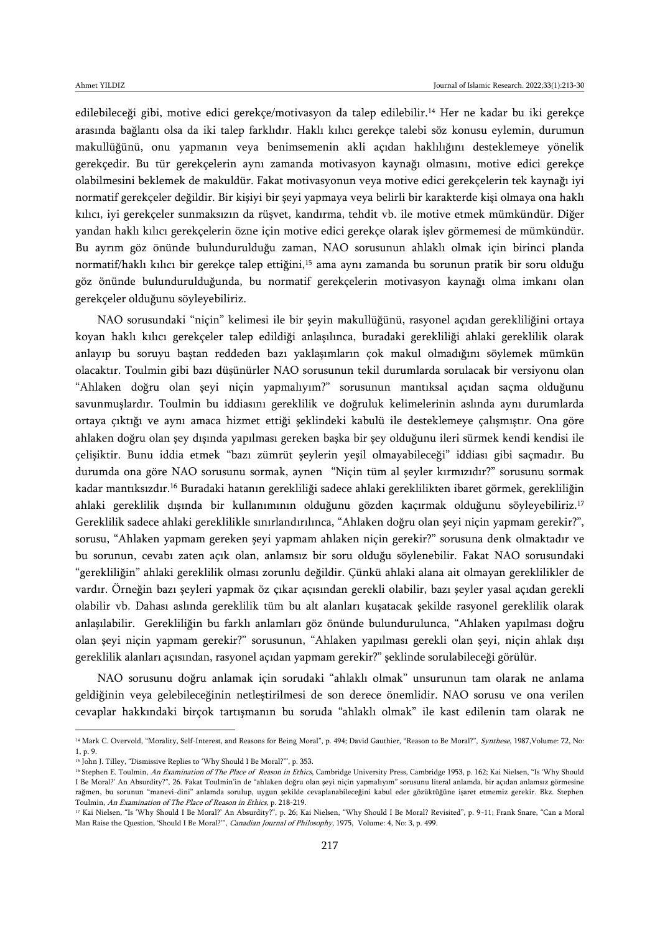edilebileceği gibi, motive edici gerekçe/motivasyon da talep edilebilir.<sup>14</sup> Her ne kadar bu iki gerekçe arasında bağlantı olsa da iki talep farklıdır. Haklı kılıcı gerekçe talebi söz konusu eylemin, durumun makullüğünü, onu yapmanın veya benimsemenin akli açıdan haklılığını desteklemeye yönelik gerekçedir. Bu tür gerekçelerin aynı zamanda motivasyon kaynağı olmasını, motive edici gerekçe olabilmesini beklemek de makuldür. Fakat motivasyonun veya motive edici gerekçelerin tek kaynağı iyi normatif gerekçeler değildir. Bir kişiyi bir şeyi yapmaya veya belirli bir karakterde kişi olmaya ona haklı kılıcı, iyi gerekçeler sunmaksızın da rüşvet, kandırma, tehdit vb. ile motive etmek mümkündür. Diğer yandan haklı kılıcı gerekçelerin özne için motive edici gerekçe olarak işlev görmemesi de mümkündür. Bu ayrım göz önünde bulundurulduğu zaman, NAO sorusunun ahlaklı olmak için birinci planda normatif/haklı kılıcı bir gerekçe talep ettiğini,<sup>15</sup> ama aynı zamanda bu sorunun pratik bir soru olduğu göz önünde bulundurulduğunda, bu normatif gerekçelerin motivasyon kaynağı olma imkanı olan gerekçeler olduğunu söyleyebiliriz.

NAO sorusundaki "niçin" kelimesi ile bir şeyin makullüğünü, rasyonel açıdan gerekliliğini ortaya koyan haklı kılıcı gerekçeler talep edildiği anlaşılınca, buradaki gerekliliği ahlaki gereklilik olarak anlayıp bu soruyu baştan reddeden bazı yaklaşımların çok makul olmadığını söylemek mümkün olacaktır. Toulmin gibi bazı düşünürler NAO sorusunun tekil durumlarda sorulacak bir versiyonu olan "Ahlaken doğru olan şeyi niçin yapmalıyım?" sorusunun mantıksal açıdan saçma olduğunu savunmuşlardır. Toulmin bu iddiasını gereklilik ve doğruluk kelimelerinin aslında aynı durumlarda ortaya çıktığı ve aynı amaca hizmet ettiği şeklindeki kabulü ile desteklemeye çalışmıştır. Ona göre ahlaken doğru olan şey dışında yapılması gereken başka bir şey olduğunu ileri sürmek kendi kendisi ile çelişiktir. Bunu iddia etmek "bazı zümrüt şeylerin yeşil olmayabileceği" iddiası gibi saçmadır. Bu durumda ona göre NAO sorusunu sormak, aynen "Niçin tüm al şeyler kırmızıdır?" sorusunu sormak kadar mantıksızdır.<sup>16</sup> Buradaki hatanın gerekliliği sadece ahlaki gereklilikten ibaret görmek, gerekliliğin ahlaki gereklilik dışında bir kullanımının olduğunu gözden kaçırmak olduğunu söyleyebiliriz.<sup>17</sup> Gereklilik sadece ahlaki gereklilikle sınırlandırılınca, "Ahlaken doğru olan şeyi niçin yapmam gerekir?", sorusu, "Ahlaken yapmam gereken şeyi yapmam ahlaken niçin gerekir?" sorusuna denk olmaktadır ve bu sorunun, cevabı zaten açık olan, anlamsız bir soru olduğu söylenebilir. Fakat NAO sorusundaki "gerekliliğin" ahlaki gereklilik olması zorunlu değildir. Çünkü ahlaki alana ait olmayan gereklilikler de vardır. Örneğin bazı şeyleri yapmak öz çıkar açısından gerekli olabilir, bazı şeyler yasal açıdan gerekli olabilir vb. Dahası aslında gereklilik tüm bu alt alanları kuşatacak şekilde rasyonel gereklilik olarak anlaşılabilir. Gerekliliğin bu farklı anlamları göz önünde bulundurulunca, "Ahlaken yapılması doğru olan şeyi niçin yapmam gerekir?" sorusunun, "Ahlaken yapılması gerekli olan şeyi, niçin ahlak dışı gereklilik alanları açısından, rasyonel açıdan yapmam gerekir?" şeklinde sorulabileceği görülür.

NAO sorusunu doğru anlamak için sorudaki "ahlaklı olmak" unsurunun tam olarak ne anlama geldiğinin veya gelebileceğinin netleştirilmesi de son derece önemlidir. NAO sorusu ve ona verilen cevaplar hakkındaki birçok tartışmanın bu soruda "ahlaklı olmak" ile kast edilenin tam olarak ne

<sup>&</sup>lt;sup>14</sup> Mark C. Overvold, "Morality, Self-Interest, and Reasons for Being Moral", p. 494; David Gauthier, "Reason to Be Moral?", Synthese, 1987, Volume: 72, No: 1, p. 9.

<sup>&</sup>lt;sup>15</sup> John J. Tilley, "Dismissive Replies to 'Why Should I Be Moral?"", p. 353.

<sup>&</sup>lt;sup>16</sup> Stephen E. Toulmin, An Examination of The Place of Reason in Ethics, Cambridge University Press, Cambridge 1953, p. 162; Kai Nielsen, "Is 'Why Should I Be Moral?' An Absurdity?", 26. Fakat Toulmin'in de "ahlaken doğru olan şeyi niçin yapmalıyım" sorusunu literal anlamda, bir açıdan anlamsız görmesine rağmen, bu sorunun "manevi-dini" anlamda sorulup, uygun şekilde cevaplanabileceğini kabul eder gözüktüğüne işaret etmemiz gerekir. Bkz. Stephen Toulmin, An Examination of The Place of Reason in Ethics, p. 218-219.

<sup>&</sup>lt;sup>17</sup> Kai Nielsen, "Is 'Why Should I Be Moral?' An Absurdity?", p. 26; Kai Nielsen, "Why Should I Be Moral? Revisited", p. 9-11; Frank Snare, "Can a Moral Man Raise the Question, 'Should I Be Moral?'", Canadian Journal of Philosophy, 1975, Volume: 4, No: 3, p. 499.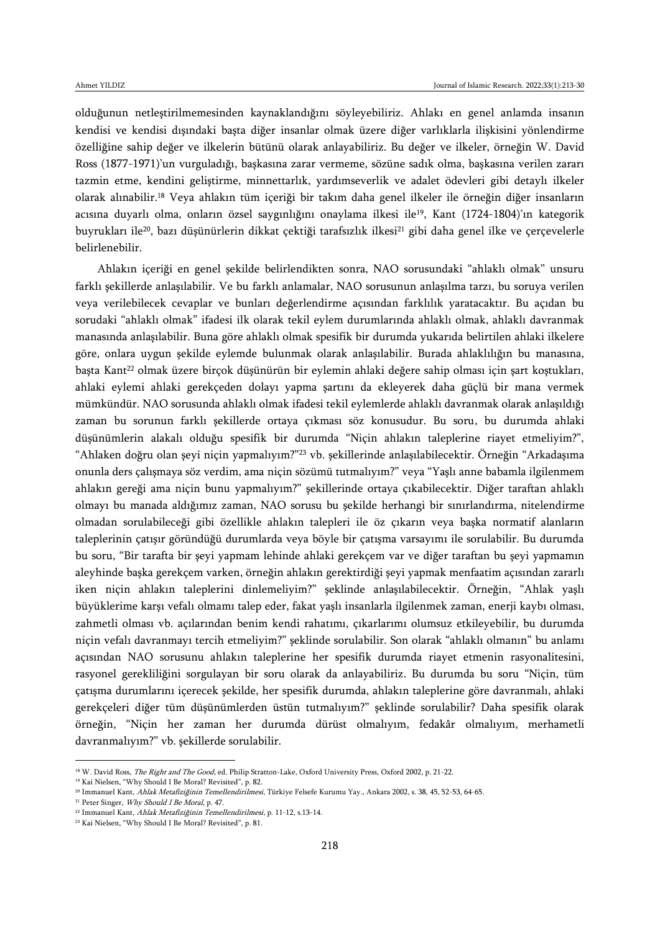olduğunun netleştirilmemesinden kaynaklandığını söyleyebiliriz. Ahlakı en genel anlamda insanın kendisi ve kendisi dışındaki başta diğer insanlar olmak üzere diğer varlıklarla ilişkisini yönlendirme özelliğine sahip değer ve ilkelerin bütünü olarak anlayabiliriz. Bu değer ve ilkeler, örneğin W. David Ross (1877-1971)'un vurguladığı, başkasına zarar vermeme, sözüne sadık olma, başkasına verilen zararı tazmin etme, kendini geliştirme, minnettarlık, yardımseverlik ve adalet ödevleri gibi detaylı ilkeler olarak alınabilir.<sup>18</sup> Veya ahlakın tüm içeriği bir takım daha genel ilkeler ile örneğin diğer insanların acısına duyarlı olma, onların özsel saygınlığını onaylama ilkesi ile<sup>19</sup>, Kant (1724-1804)'ın kategorik buyrukları ile<sup>20</sup>, bazı düşünürlerin dikkat çektiği tarafsızlık ilkesi<sup>21</sup> gibi daha genel ilke ve çerçevelerle belirlenebilir.

Ahlakın içeriği en genel şekilde belirlendikten sonra, NAO sorusundaki "ahlaklı olmak" unsuru farklı şekillerde anlaşılabilir. Ve bu farklı anlamalar, NAO sorusunun anlaşılma tarzı, bu soruya verilen veya verilebilecek cevaplar ve bunları değerlendirme açısından farklılık yaratacaktır. Bu açıdan bu sorudaki "ahlaklı olmak" ifadesi ilk olarak tekil eylem durumlarında ahlaklı olmak, ahlaklı davranmak manasında anlaşılabilir. Buna göre ahlaklı olmak spesifik bir durumda yukarıda belirtilen ahlaki ilkelere göre, onlara uygun şekilde eylemde bulunmak olarak anlaşılabilir. Burada ahlaklılığın bu manasına, başta Kant<sup>22</sup> olmak üzere birçok düşünürün bir eylemin ahlaki değere sahip olması için şart koştukları, ahlaki eylemi ahlaki gerekçeden dolayı yapma şartını da ekleyerek daha güçlü bir mana vermek mümkündür. NAO sorusunda ahlaklı olmak ifadesi tekil eylemlerde ahlaklı davranmak olarak anlaşıldığı zaman bu sorunun farklı şekillerde ortaya çıkması söz konusudur. Bu soru, bu durumda ahlaki düşünümlerin alakalı olduğu spesifik bir durumda "Niçin ahlakın taleplerine riayet etmeliyim?", "Ahlaken doğru olan şeyi niçin yapmalıyım?"<sup>23</sup> vb. şekillerinde anlaşılabilecektir. Örneğin "Arkadaşıma onunla ders çalışmaya söz verdim, ama niçin sözümü tutmalıyım?" veya "Yaşlı anne babamla ilgilenmem ahlakın gereği ama niçin bunu yapmalıyım?" şekillerinde ortaya çıkabilecektir. Diğer taraftan ahlaklı olmayı bu manada aldığımız zaman, NAO sorusu bu şekilde herhangi bir sınırlandırma, nitelendirme olmadan sorulabileceği gibi özellikle ahlakın talepleri ile öz çıkarın veya başka normatif alanların taleplerinin çatışır göründüğü durumlarda veya böyle bir çatışma varsayımı ile sorulabilir. Bu durumda bu soru, "Bir tarafta bir şeyi yapmam lehinde ahlaki gerekçem var ve diğer taraftan bu şeyi yapmamın aleyhinde başka gerekçem varken, örneğin ahlakın gerektirdiği şeyi yapmak menfaatim açısından zararlı iken niçin ahlakın taleplerini dinlemeliyim?" şeklinde anlaşılabilecektir. Örneğin, "Ahlak yaşlı büyüklerime karşı vefalı olmamı talep eder, fakat yaşlı insanlarla ilgilenmek zaman, enerji kaybı olması, zahmetli olması vb. açılarından benim kendi rahatımı, çıkarlarımı olumsuz etkileyebilir, bu durumda niçin vefalı davranmayı tercih etmeliyim?" şeklinde sorulabilir. Son olarak "ahlaklı olmanın" bu anlamı açısından NAO sorusunu ahlakın taleplerine her spesifik durumda riayet etmenin rasyonalitesini, rasyonel gerekliliğini sorgulayan bir soru olarak da anlayabiliriz. Bu durumda bu soru "Niçin, tüm çatışma durumlarını içerecek şekilde, her spesifik durumda, ahlakın taleplerine göre davranmalı, ahlaki gerekçeleri diğer tüm düşünümlerden üstün tutmalıyım?" şeklinde sorulabilir? Daha spesifik olarak örneğin, "Niçin her zaman her durumda dürüst olmalıyım, fedakâr olmalıyım, merhametli davranmalıyım?" vb. şekillerde sorulabilir.

<sup>&</sup>lt;sup>18</sup> W. David Ross, *The Right and The Good*, ed. Philip Stratton-Lake, Oxford University Press, Oxford 2002, p. 21-22.

<sup>&</sup>lt;sup>19</sup> Kai Nielsen, "Why Should I Be Moral? Revisited", p. 82.

<sup>&</sup>lt;sup>20</sup> Immanuel Kant, Ahlak Metafiziğinin Temellendirilmesi, Türkiye Felsefe Kurumu Yay., Ankara 2002, s. 38, 45, 52-53, 64-65.

<sup>&</sup>lt;sup>21</sup> Peter Singer, *Why Should I Be Moral*, p. 47.

<sup>22</sup> Immanuel Kant, Ahlak Metafiziğinin Temellendirilmesi, p. 11-12, s.13-14.

<sup>23</sup> Kai Nielsen, "Why Should I Be Moral? Revisited", p. 81.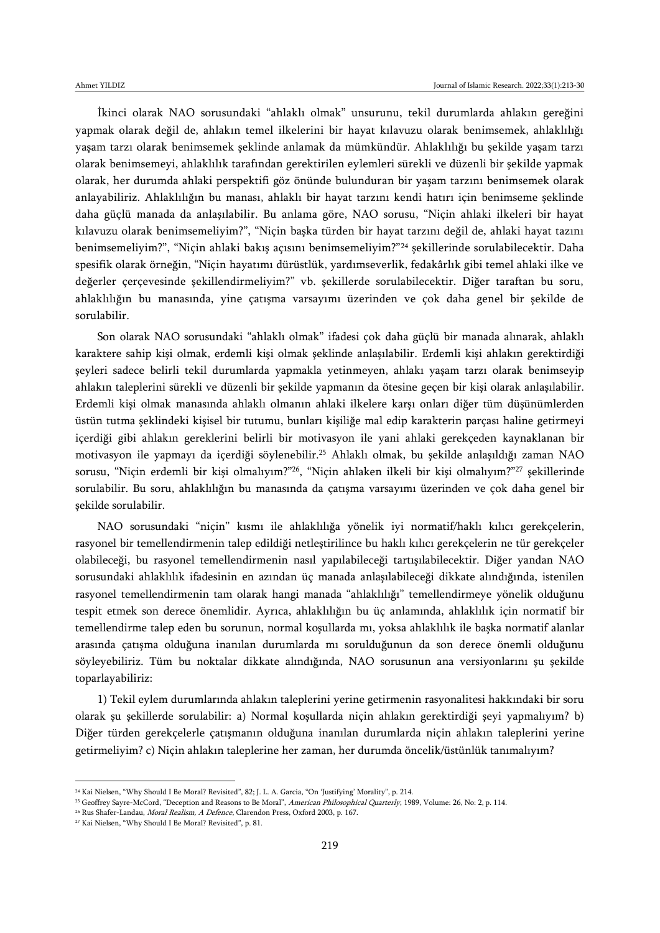İkinci olarak NAO sorusundaki "ahlaklı olmak" unsurunu, tekil durumlarda ahlakın gereğini yapmak olarak değil de, ahlakın temel ilkelerini bir hayat kılavuzu olarak benimsemek, ahlaklılığı yaşam tarzı olarak benimsemek şeklinde anlamak da mümkündür. Ahlaklılığı bu şekilde yaşam tarzı olarak benimsemeyi, ahlaklılık tarafından gerektirilen eylemleri sürekli ve düzenli bir şekilde yapmak olarak, her durumda ahlaki perspektifi göz önünde bulunduran bir yaşam tarzını benimsemek olarak anlayabiliriz. Ahlaklılığın bu manası, ahlaklı bir hayat tarzını kendi hatırı için benimseme şeklinde daha güçlü manada da anlaşılabilir. Bu anlama göre, NAO sorusu, "Niçin ahlaki ilkeleri bir hayat kılavuzu olarak benimsemeliyim?", "Niçin başka türden bir hayat tarzını değil de, ahlaki hayat tazını benimsemeliyim?", "Niçin ahlaki bakış açısını benimsemeliyim?"<sup>24</sup> şekillerinde sorulabilecektir. Daha spesifik olarak örneğin, "Niçin hayatımı dürüstlük, yardımseverlik, fedakârlık gibi temel ahlaki ilke ve değerler çerçevesinde şekillendirmeliyim?" vb. şekillerde sorulabilecektir. Diğer taraftan bu soru, ahlaklılığın bu manasında, yine çatışma varsayımı üzerinden ve çok daha genel bir şekilde de sorulabilir.

Son olarak NAO sorusundaki "ahlaklı olmak" ifadesi çok daha güçlü bir manada alınarak, ahlaklı karaktere sahip kişi olmak, erdemli kişi olmak şeklinde anlaşılabilir. Erdemli kişi ahlakın gerektirdiği şeyleri sadece belirli tekil durumlarda yapmakla yetinmeyen, ahlakı yaşam tarzı olarak benimseyip ahlakın taleplerini sürekli ve düzenli bir şekilde yapmanın da ötesine geçen bir kişi olarak anlaşılabilir. Erdemli kişi olmak manasında ahlaklı olmanın ahlaki ilkelere karşı onları diğer tüm düşünümlerden üstün tutma şeklindeki kişisel bir tutumu, bunları kişiliğe mal edip karakterin parçası haline getirmeyi içerdiği gibi ahlakın gereklerini belirli bir motivasyon ile yani ahlaki gerekçeden kaynaklanan bir motivasyon ile yapmayı da içerdiği söylenebilir.<sup>25</sup> Ahlaklı olmak, bu şekilde anlaşıldığı zaman NAO sorusu, "Niçin erdemli bir kişi olmalıyım?"<sup>26</sup>, "Niçin ahlaken ilkeli bir kişi olmalıyım?"<sup>27</sup> şekillerinde sorulabilir. Bu soru, ahlaklılığın bu manasında da çatışma varsayımı üzerinden ve çok daha genel bir şekilde sorulabilir.

NAO sorusundaki "niçin" kısmı ile ahlaklılığa yönelik iyi normatif/haklı kılıcı gerekçelerin, rasyonel bir temellendirmenin talep edildiği netleştirilince bu haklı kılıcı gerekçelerin ne tür gerekçeler olabileceği, bu rasyonel temellendirmenin nasıl yapılabileceği tartışılabilecektir. Diğer yandan NAO sorusundaki ahlaklılık ifadesinin en azından üç manada anlaşılabileceği dikkate alındığında, istenilen rasyonel temellendirmenin tam olarak hangi manada "ahlaklılığı" temellendirmeye yönelik olduğunu tespit etmek son derece önemlidir. Ayrıca, ahlaklılığın bu üç anlamında, ahlaklılık için normatif bir temellendirme talep eden bu sorunun, normal koşullarda mı, yoksa ahlaklılık ile başka normatif alanlar arasında çatışma olduğuna inanılan durumlarda mı sorulduğunun da son derece önemli olduğunu söyleyebiliriz. Tüm bu noktalar dikkate alındığında, NAO sorusunun ana versiyonlarını şu şekilde toparlayabiliriz:

1) Tekil eylem durumlarında ahlakın taleplerini yerine getirmenin rasyonalitesi hakkındaki bir soru olarak şu şekillerde sorulabilir: a) Normal koşullarda niçin ahlakın gerektirdiği şeyi yapmalıyım? b) Diğer türden gerekçelerle çatışmanın olduğuna inanılan durumlarda niçin ahlakın taleplerini yerine getirmeliyim? c) Niçin ahlakın taleplerine her zaman, her durumda öncelik/üstünlük tanımalıyım?

<sup>24</sup> Kai Nielsen, "Why Should I Be Moral? Revisited", 82; J. L. A. Garcia, "On 'Justifying' Morality", p. 214.

<sup>&</sup>lt;sup>25</sup> Geoffrey Sayre-McCord, "Deception and Reasons to Be Moral", American Philosophical Quarterly, 1989, Volume: 26, No: 2, p. 114.

<sup>&</sup>lt;sup>26</sup> Rus Shafer-Landau, *Moral Realism, A Defence*, Clarendon Press, Oxford 2003, p. 167.

<sup>27</sup> Kai Nielsen, "Why Should I Be Moral? Revisited", p. 81.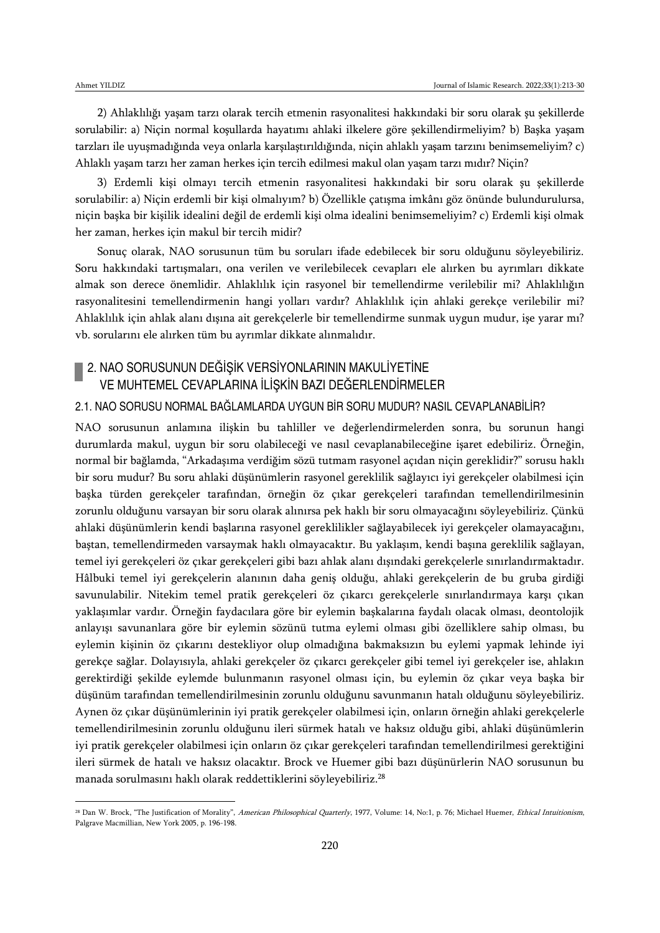$\overline{a}$ 

2) Ahlaklılığı yaşam tarzı olarak tercih etmenin rasyonalitesi hakkındaki bir soru olarak şu şekillerde sorulabilir: a) Niçin normal koşullarda hayatımı ahlaki ilkelere göre şekillendirmeliyim? b) Başka yaşam tarzları ile uyuşmadığında veya onlarla karşılaştırıldığında, niçin ahlaklı yaşam tarzını benimsemeliyim? c) Ahlaklı yaşam tarzı her zaman herkes için tercih edilmesi makul olan yaşam tarzı mıdır? Niçin?

3) Erdemli kişi olmayı tercih etmenin rasyonalitesi hakkındaki bir soru olarak şu şekillerde sorulabilir: a) Niçin erdemli bir kişi olmalıyım? b) Özellikle çatışma imkânı göz önünde bulundurulursa, niçin başka bir kişilik idealini değil de erdemli kişi olma idealini benimsemeliyim? c) Erdemli kişi olmak her zaman, herkes için makul bir tercih midir?

Sonuç olarak, NAO sorusunun tüm bu soruları ifade edebilecek bir soru olduğunu söyleyebiliriz. Soru hakkındaki tartışmaları, ona verilen ve verilebilecek cevapları ele alırken bu ayrımları dikkate almak son derece önemlidir. Ahlaklılık için rasyonel bir temellendirme verilebilir mi? Ahlaklılığın rasyonalitesini temellendirmenin hangi yolları vardır? Ahlaklılık için ahlaki gerekçe verilebilir mi? Ahlaklılık için ahlak alanı dışına ait gerekçelerle bir temellendirme sunmak uygun mudur, işe yarar mı? vb. sorularını ele alırken tüm bu ayrımlar dikkate alınmalıdır.

## 2. NAO SORUSUNUN DEĞİŞİK VERSİYONLARININ MAKULİYETİNE VE MUHTEMEL CEVAPLARINA İLİŞKİN BAZI DEĞERLENDİRMELER

### 2.1. NAO SORUSU NORMAL BAĞLAMLARDA UYGUN BİR SORU MUDUR? NASIL CEVAPLANABİLİR?

NAO sorusunun anlamına ilişkin bu tahliller ve değerlendirmelerden sonra, bu sorunun hangi durumlarda makul, uygun bir soru olabileceği ve nasıl cevaplanabileceğine işaret edebiliriz. Örneğin, normal bir bağlamda, "Arkadaşıma verdiğim sözü tutmam rasyonel açıdan niçin gereklidir?" sorusu haklı bir soru mudur? Bu soru ahlaki düşünümlerin rasyonel gereklilik sağlayıcı iyi gerekçeler olabilmesi için başka türden gerekçeler tarafından, örneğin öz çıkar gerekçeleri tarafından temellendirilmesinin zorunlu olduğunu varsayan bir soru olarak alınırsa pek haklı bir soru olmayacağını söyleyebiliriz. Çünkü ahlaki düşünümlerin kendi başlarına rasyonel gereklilikler sağlayabilecek iyi gerekçeler olamayacağını, baştan, temellendirmeden varsaymak haklı olmayacaktır. Bu yaklaşım, kendi başına gereklilik sağlayan, temel iyi gerekçeleri öz çıkar gerekçeleri gibi bazı ahlak alanı dışındaki gerekçelerle sınırlandırmaktadır. Hâlbuki temel iyi gerekçelerin alanının daha geniş olduğu, ahlaki gerekçelerin de bu gruba girdiği savunulabilir. Nitekim temel pratik gerekçeleri öz çıkarcı gerekçelerle sınırlandırmaya karşı çıkan yaklaşımlar vardır. Örneğin faydacılara göre bir eylemin başkalarına faydalı olacak olması, deontolojik anlayışı savunanlara göre bir eylemin sözünü tutma eylemi olması gibi özelliklere sahip olması, bu eylemin kişinin öz çıkarını destekliyor olup olmadığına bakmaksızın bu eylemi yapmak lehinde iyi gerekçe sağlar. Dolayısıyla, ahlaki gerekçeler öz çıkarcı gerekçeler gibi temel iyi gerekçeler ise, ahlakın gerektirdiği şekilde eylemde bulunmanın rasyonel olması için, bu eylemin öz çıkar veya başka bir düşünüm tarafından temellendirilmesinin zorunlu olduğunu savunmanın hatalı olduğunu söyleyebiliriz. Aynen öz çıkar düşünümlerinin iyi pratik gerekçeler olabilmesi için, onların örneğin ahlaki gerekçelerle temellendirilmesinin zorunlu olduğunu ileri sürmek hatalı ve haksız olduğu gibi, ahlaki düşünümlerin iyi pratik gerekçeler olabilmesi için onların öz çıkar gerekçeleri tarafından temellendirilmesi gerektiğini ileri sürmek de hatalı ve haksız olacaktır. Brock ve Huemer gibi bazı düşünürlerin NAO sorusunun bu manada sorulmasını haklı olarak reddettiklerini söyleyebiliriz.<sup>28</sup>

<sup>&</sup>lt;sup>28</sup> Dan W. Brock, "The Justification of Morality", American Philosophical Quarterly, 1977, Volume: 14, No:1, p. 76; Michael Huemer, Ethical Intuitionism, Palgrave Macmillian, New York 2005, p. 196-198.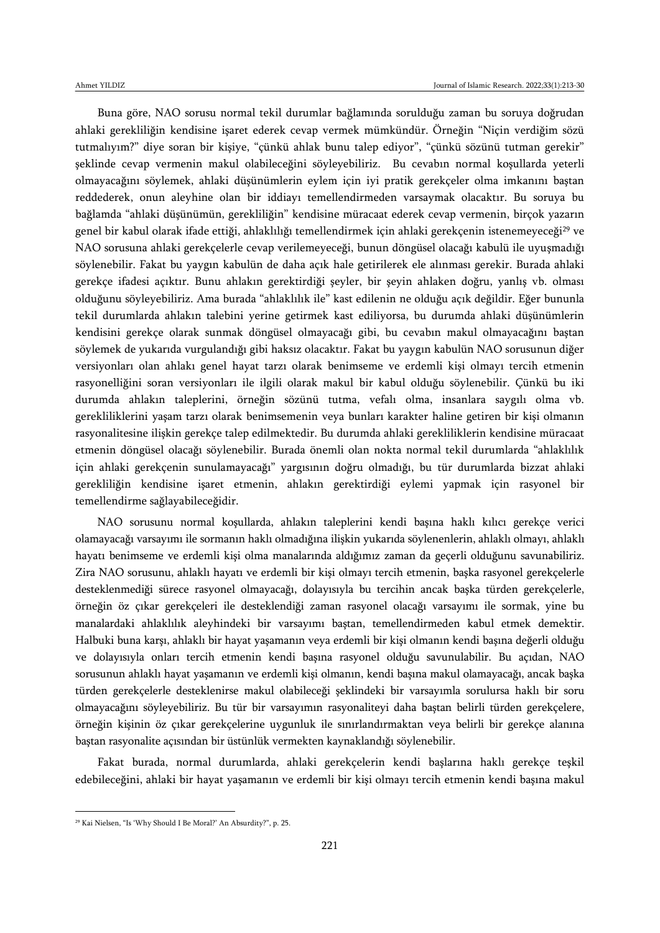Buna göre, NAO sorusu normal tekil durumlar bağlamında sorulduğu zaman bu soruya doğrudan ahlaki gerekliliğin kendisine işaret ederek cevap vermek mümkündür. Örneğin "Niçin verdiğim sözü tutmalıyım?" diye soran bir kişiye, "çünkü ahlak bunu talep ediyor", "çünkü sözünü tutman gerekir" şeklinde cevap vermenin makul olabileceğini söyleyebiliriz. Bu cevabın normal koşullarda yeterli olmayacağını söylemek, ahlaki düşünümlerin eylem için iyi pratik gerekçeler olma imkanını baştan reddederek, onun aleyhine olan bir iddiayı temellendirmeden varsaymak olacaktır. Bu soruya bu bağlamda "ahlaki düşünümün, gerekliliğin" kendisine müracaat ederek cevap vermenin, birçok yazarın genel bir kabul olarak ifade ettiği, ahlaklılığı temellendirmek için ahlaki gerekçenin istenemeyeceği<sup>29</sup> ve NAO sorusuna ahlaki gerekçelerle cevap verilemeyeceği, bunun döngüsel olacağı kabulü ile uyuşmadığı söylenebilir. Fakat bu yaygın kabulün de daha açık hale getirilerek ele alınması gerekir. Burada ahlaki gerekçe ifadesi açıktır. Bunu ahlakın gerektirdiği şeyler, bir şeyin ahlaken doğru, yanlış vb. olması olduğunu söyleyebiliriz. Ama burada "ahlaklılık ile" kast edilenin ne olduğu açık değildir. Eğer bununla tekil durumlarda ahlakın talebini yerine getirmek kast ediliyorsa, bu durumda ahlaki düşünümlerin kendisini gerekçe olarak sunmak döngüsel olmayacağı gibi, bu cevabın makul olmayacağını baştan söylemek de yukarıda vurgulandığı gibi haksız olacaktır. Fakat bu yaygın kabulün NAO sorusunun diğer versiyonları olan ahlakı genel hayat tarzı olarak benimseme ve erdemli kişi olmayı tercih etmenin rasyonelliğini soran versiyonları ile ilgili olarak makul bir kabul olduğu söylenebilir. Çünkü bu iki durumda ahlakın taleplerini, örneğin sözünü tutma, vefalı olma, insanlara saygılı olma vb. gerekliliklerini yaşam tarzı olarak benimsemenin veya bunları karakter haline getiren bir kişi olmanın rasyonalitesine ilişkin gerekçe talep edilmektedir. Bu durumda ahlaki gerekliliklerin kendisine müracaat etmenin döngüsel olacağı söylenebilir. Burada önemli olan nokta normal tekil durumlarda "ahlaklılık için ahlaki gerekçenin sunulamayacağı" yargısının doğru olmadığı, bu tür durumlarda bizzat ahlaki gerekliliğin kendisine işaret etmenin, ahlakın gerektirdiği eylemi yapmak için rasyonel bir temellendirme sağlayabileceğidir.

NAO sorusunu normal koşullarda, ahlakın taleplerini kendi başına haklı kılıcı gerekçe verici olamayacağı varsayımı ile sormanın haklı olmadığına ilişkin yukarıda söylenenlerin, ahlaklı olmayı, ahlaklı hayatı benimseme ve erdemli kişi olma manalarında aldığımız zaman da geçerli olduğunu savunabiliriz. Zira NAO sorusunu, ahlaklı hayatı ve erdemli bir kişi olmayı tercih etmenin, başka rasyonel gerekçelerle desteklenmediği sürece rasyonel olmayacağı, dolayısıyla bu tercihin ancak başka türden gerekçelerle, örneğin öz çıkar gerekçeleri ile desteklendiği zaman rasyonel olacağı varsayımı ile sormak, yine bu manalardaki ahlaklılık aleyhindeki bir varsayımı baştan, temellendirmeden kabul etmek demektir. Halbuki buna karşı, ahlaklı bir hayat yaşamanın veya erdemli bir kişi olmanın kendi başına değerli olduğu ve dolayısıyla onları tercih etmenin kendi başına rasyonel olduğu savunulabilir. Bu açıdan, NAO sorusunun ahlaklı hayat yaşamanın ve erdemli kişi olmanın, kendi başına makul olamayacağı, ancak başka türden gerekçelerle desteklenirse makul olabileceği şeklindeki bir varsayımla sorulursa haklı bir soru olmayacağını söyleyebiliriz. Bu tür bir varsayımın rasyonaliteyi daha baştan belirli türden gerekçelere, örneğin kişinin öz çıkar gerekçelerine uygunluk ile sınırlandırmaktan veya belirli bir gerekçe alanına baştan rasyonalite açısından bir üstünlük vermekten kaynaklandığı söylenebilir.

Fakat burada, normal durumlarda, ahlaki gerekçelerin kendi başlarına haklı gerekçe teşkil edebileceğini, ahlaki bir hayat yaşamanın ve erdemli bir kişi olmayı tercih etmenin kendi başına makul

<sup>29</sup> Kai Nielsen, "Is 'Why Should I Be Moral?' An Absurdity?", p. 25.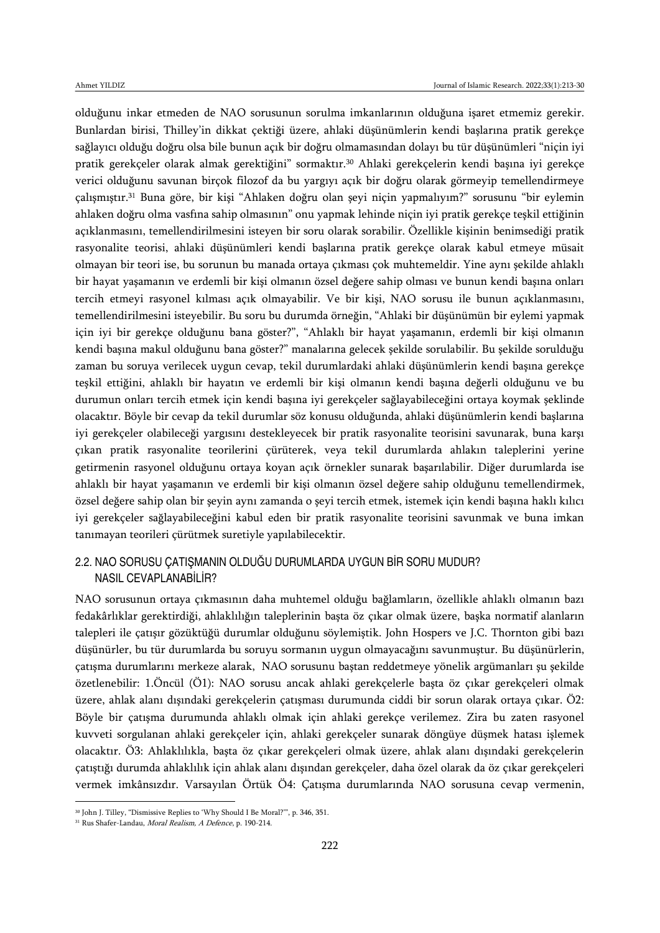olduğunu inkar etmeden de NAO sorusunun sorulma imkanlarının olduğuna işaret etmemiz gerekir. Bunlardan birisi, Thilley'in dikkat çektiği üzere, ahlaki düşünümlerin kendi başlarına pratik gerekçe sağlayıcı olduğu doğru olsa bile bunun açık bir doğru olmamasından dolayı bu tür düşünümleri "niçin iyi pratik gerekçeler olarak almak gerektiğini" sormaktır.<sup>30</sup> Ahlaki gerekçelerin kendi başına iyi gerekçe verici olduğunu savunan birçok filozof da bu yargıyı açık bir doğru olarak görmeyip temellendirmeye çalışmıştır.<sup>31</sup> Buna göre, bir kişi "Ahlaken doğru olan şeyi niçin yapmalıyım?" sorusunu "bir eylemin ahlaken doğru olma vasfına sahip olmasının" onu yapmak lehinde niçin iyi pratik gerekçe teşkil ettiğinin açıklanmasını, temellendirilmesini isteyen bir soru olarak sorabilir. Özellikle kişinin benimsediği pratik rasyonalite teorisi, ahlaki düşünümleri kendi başlarına pratik gerekçe olarak kabul etmeye müsait olmayan bir teori ise, bu sorunun bu manada ortaya çıkması çok muhtemeldir. Yine aynı şekilde ahlaklı bir hayat yaşamanın ve erdemli bir kişi olmanın özsel değere sahip olması ve bunun kendi başına onları tercih etmeyi rasyonel kılması açık olmayabilir. Ve bir kişi, NAO sorusu ile bunun açıklanmasını, temellendirilmesini isteyebilir. Bu soru bu durumda örneğin, "Ahlaki bir düşünümün bir eylemi yapmak için iyi bir gerekçe olduğunu bana göster?", "Ahlaklı bir hayat yaşamanın, erdemli bir kişi olmanın kendi başına makul olduğunu bana göster?" manalarına gelecek şekilde sorulabilir. Bu şekilde sorulduğu zaman bu soruya verilecek uygun cevap, tekil durumlardaki ahlaki düşünümlerin kendi başına gerekçe teşkil ettiğini, ahlaklı bir hayatın ve erdemli bir kişi olmanın kendi başına değerli olduğunu ve bu durumun onları tercih etmek için kendi başına iyi gerekçeler sağlayabileceğini ortaya koymak şeklinde olacaktır. Böyle bir cevap da tekil durumlar söz konusu olduğunda, ahlaki düşünümlerin kendi başlarına iyi gerekçeler olabileceği yargısını destekleyecek bir pratik rasyonalite teorisini savunarak, buna karşı çıkan pratik rasyonalite teorilerini çürüterek, veya tekil durumlarda ahlakın taleplerini yerine getirmenin rasyonel olduğunu ortaya koyan açık örnekler sunarak başarılabilir. Diğer durumlarda ise ahlaklı bir hayat yaşamanın ve erdemli bir kişi olmanın özsel değere sahip olduğunu temellendirmek, özsel değere sahip olan bir şeyin aynı zamanda o şeyi tercih etmek, istemek için kendi başına haklı kılıcı iyi gerekçeler sağlayabileceğini kabul eden bir pratik rasyonalite teorisini savunmak ve buna imkan tanımayan teorileri çürütmek suretiyle yapılabilecektir.

#### 2.2. NAO SORUSU ÇATIŞMANIN OLDUĞU DURUMLARDA UYGUN BİR SORU MUDUR? NASIL CEVAPLANABİLİR?

NAO sorusunun ortaya çıkmasının daha muhtemel olduğu bağlamların, özellikle ahlaklı olmanın bazı fedakârlıklar gerektirdiği, ahlaklılığın taleplerinin başta öz çıkar olmak üzere, başka normatif alanların talepleri ile çatışır gözüktüğü durumlar olduğunu söylemiştik. John Hospers ve J.C. Thornton gibi bazı düşünürler, bu tür durumlarda bu soruyu sormanın uygun olmayacağını savunmuştur. Bu düşünürlerin, çatışma durumlarını merkeze alarak, NAO sorusunu baştan reddetmeye yönelik argümanları şu şekilde özetlenebilir: 1.Öncül (Ö1): NAO sorusu ancak ahlaki gerekçelerle başta öz çıkar gerekçeleri olmak üzere, ahlak alanı dışındaki gerekçelerin çatışması durumunda ciddi bir sorun olarak ortaya çıkar. Ö2: Böyle bir çatışma durumunda ahlaklı olmak için ahlaki gerekçe verilemez. Zira bu zaten rasyonel kuvveti sorgulanan ahlaki gerekçeler için, ahlaki gerekçeler sunarak döngüye düşmek hatası işlemek olacaktır. Ö3: Ahlaklılıkla, başta öz çıkar gerekçeleri olmak üzere, ahlak alanı dışındaki gerekçelerin çatıştığı durumda ahlaklılık için ahlak alanı dışından gerekçeler, daha özel olarak da öz çıkar gerekçeleri vermek imkânsızdır. Varsayılan Örtük Ö4: Çatışma durumlarında NAO sorusuna cevap vermenin,

<sup>30</sup> John J. Tilley, "Dismissive Replies to 'Why Should I Be Moral?'", p. 346, 351.

<sup>31</sup> Rus Shafer-Landau, Moral Realism, A Defence, p. 190-214.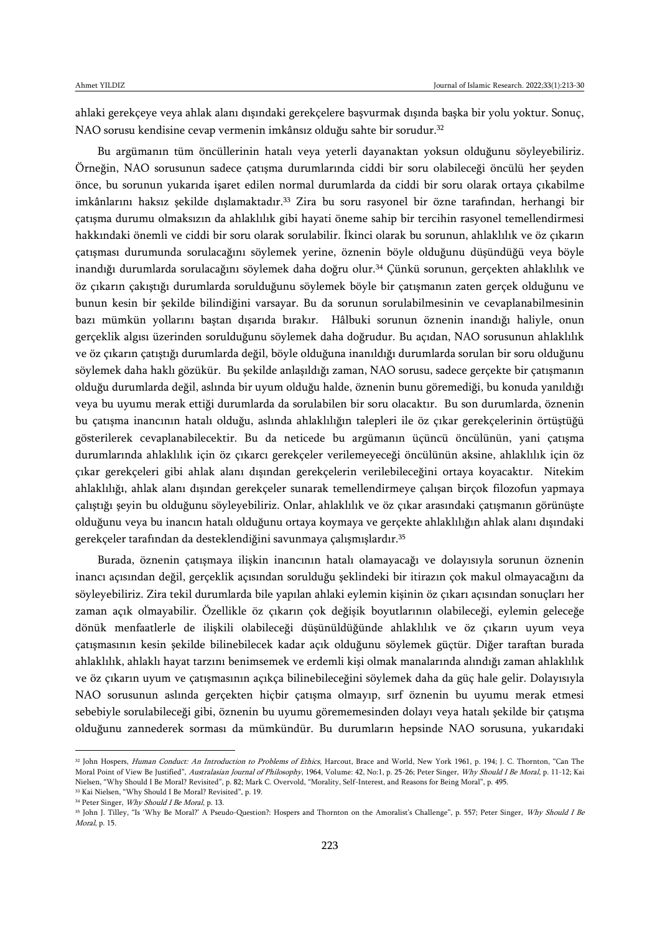ahlaki gerekçeye veya ahlak alanı dışındaki gerekçelere başvurmak dışında başka bir yolu yoktur. Sonuç, NAO sorusu kendisine cevap vermenin imkânsız olduğu sahte bir sorudur.<sup>32</sup>

Bu argümanın tüm öncüllerinin hatalı veya yeterli dayanaktan yoksun olduğunu söyleyebiliriz. Örneğin, NAO sorusunun sadece çatışma durumlarında ciddi bir soru olabileceği öncülü her şeyden önce, bu sorunun yukarıda işaret edilen normal durumlarda da ciddi bir soru olarak ortaya çıkabilme imkânlarını haksız şekilde dışlamaktadır.<sup>33</sup> Zira bu soru rasyonel bir özne tarafından, herhangi bir çatışma durumu olmaksızın da ahlaklılık gibi hayati öneme sahip bir tercihin rasyonel temellendirmesi hakkındaki önemli ve ciddi bir soru olarak sorulabilir. İkinci olarak bu sorunun, ahlaklılık ve öz çıkarın çatışması durumunda sorulacağını söylemek yerine, öznenin böyle olduğunu düşündüğü veya böyle inandığı durumlarda sorulacağını söylemek daha doğru olur.<sup>34</sup> Çünkü sorunun, gerçekten ahlaklılık ve öz çıkarın çakıştığı durumlarda sorulduğunu söylemek böyle bir çatışmanın zaten gerçek olduğunu ve bunun kesin bir şekilde bilindiğini varsayar. Bu da sorunun sorulabilmesinin ve cevaplanabilmesinin bazı mümkün yollarını baştan dışarıda bırakır. Hâlbuki sorunun öznenin inandığı haliyle, onun gerçeklik algısı üzerinden sorulduğunu söylemek daha doğrudur. Bu açıdan, NAO sorusunun ahlaklılık ve öz çıkarın çatıştığı durumlarda değil, böyle olduğuna inanıldığı durumlarda sorulan bir soru olduğunu söylemek daha haklı gözükür. Bu şekilde anlaşıldığı zaman, NAO sorusu, sadece gerçekte bir çatışmanın olduğu durumlarda değil, aslında bir uyum olduğu halde, öznenin bunu göremediği, bu konuda yanıldığı veya bu uyumu merak ettiği durumlarda da sorulabilen bir soru olacaktır. Bu son durumlarda, öznenin bu çatışma inancının hatalı olduğu, aslında ahlaklılığın talepleri ile öz çıkar gerekçelerinin örtüştüğü gösterilerek cevaplanabilecektir. Bu da neticede bu argümanın üçüncü öncülünün, yani çatışma durumlarında ahlaklılık için öz çıkarcı gerekçeler verilemeyeceği öncülünün aksine, ahlaklılık için öz çıkar gerekçeleri gibi ahlak alanı dışından gerekçelerin verilebileceğini ortaya koyacaktır. Nitekim ahlaklılığı, ahlak alanı dışından gerekçeler sunarak temellendirmeye çalışan birçok filozofun yapmaya çalıştığı şeyin bu olduğunu söyleyebiliriz. Onlar, ahlaklılık ve öz çıkar arasındaki çatışmanın görünüşte olduğunu veya bu inancın hatalı olduğunu ortaya koymaya ve gerçekte ahlaklılığın ahlak alanı dışındaki gerekçeler tarafından da desteklendiğini savunmaya çalışmışlardır.<sup>35</sup>

Burada, öznenin çatışmaya ilişkin inancının hatalı olamayacağı ve dolayısıyla sorunun öznenin inancı açısından değil, gerçeklik açısından sorulduğu şeklindeki bir itirazın çok makul olmayacağını da söyleyebiliriz. Zira tekil durumlarda bile yapılan ahlaki eylemin kişinin öz çıkarı açısından sonuçları her zaman açık olmayabilir. Özellikle öz çıkarın çok değişik boyutlarının olabileceği, eylemin geleceğe dönük menfaatlerle de ilişkili olabileceği düşünüldüğünde ahlaklılık ve öz çıkarın uyum veya çatışmasının kesin şekilde bilinebilecek kadar açık olduğunu söylemek güçtür. Diğer taraftan burada ahlaklılık, ahlaklı hayat tarzını benimsemek ve erdemli kişi olmak manalarında alındığı zaman ahlaklılık ve öz çıkarın uyum ve çatışmasının açıkça bilinebileceğini söylemek daha da güç hale gelir. Dolayısıyla NAO sorusunun aslında gerçekten hiçbir çatışma olmayıp, sırf öznenin bu uyumu merak etmesi sebebiyle sorulabileceği gibi, öznenin bu uyumu görememesinden dolayı veya hatalı şekilde bir çatışma olduğunu zannederek sorması da mümkündür. Bu durumların hepsinde NAO sorusuna, yukarıdaki

<sup>&</sup>lt;sup>32</sup> John Hospers, Human Conduct: An Introduction to Problems of Ethics, Harcout, Brace and World, New York 1961, p. 194; J. C. Thornton, "Can The Moral Point of View Be Justified", Australasian Journal of Philosophy, 1964, Volume: 42, No:1, p. 25-26; Peter Singer, Why Should I Be Moral, p. 11-12; Kai Nielsen, "Why Should I Be Moral? Revisited", p. 82; Mark C. Overvold, "Morality, Self-Interest, and Reasons for Being Moral", p. 495.

<sup>33</sup> Kai Nielsen, "Why Should I Be Moral? Revisited", p. 19.

<sup>&</sup>lt;sup>34</sup> Peter Singer, *Why Should I Be Moral*, p. 13.

<sup>&</sup>lt;sup>35</sup> John J. Tilley, "Is 'Why Be Moral?' A Pseudo-Question?: Hospers and Thornton on the Amoralist's Challenge", p. 557; Peter Singer, Why Should I Be Moral, p. 15.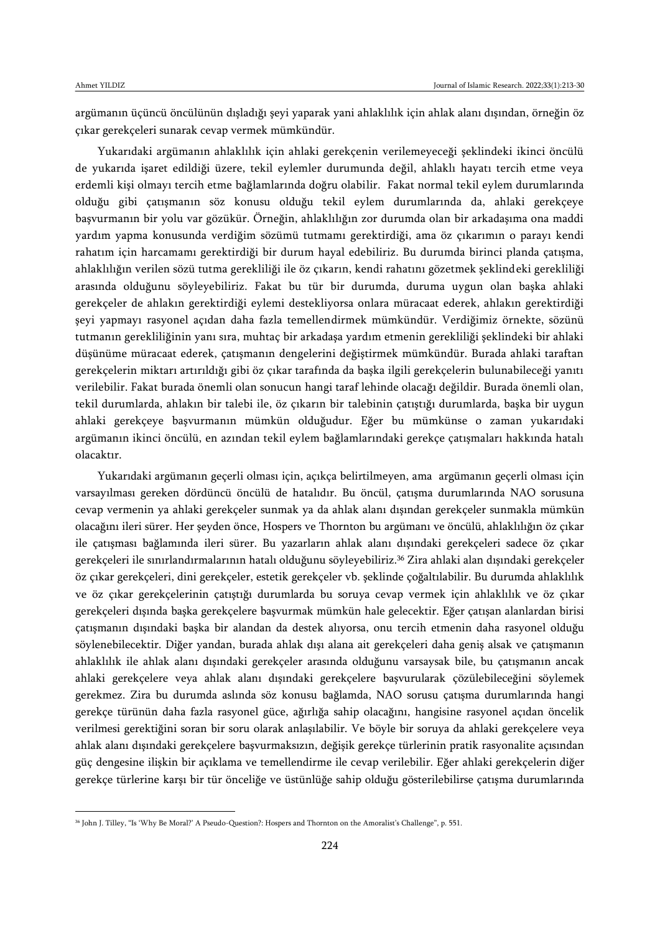$\overline{\phantom{a}}$ 

argümanın üçüncü öncülünün dışladığı şeyi yaparak yani ahlaklılık için ahlak alanı dışından, örneğin öz çıkar gerekçeleri sunarak cevap vermek mümkündür.

Yukarıdaki argümanın ahlaklılık için ahlaki gerekçenin verilemeyeceği şeklindeki ikinci öncülü de yukarıda işaret edildiği üzere, tekil eylemler durumunda değil, ahlaklı hayatı tercih etme veya erdemli kişi olmayı tercih etme bağlamlarında doğru olabilir. Fakat normal tekil eylem durumlarında olduğu gibi çatışmanın söz konusu olduğu tekil eylem durumlarında da, ahlaki gerekçeye başvurmanın bir yolu var gözükür. Örneğin, ahlaklılığın zor durumda olan bir arkadaşıma ona maddi yardım yapma konusunda verdiğim sözümü tutmamı gerektirdiği, ama öz çıkarımın o parayı kendi rahatım için harcamamı gerektirdiği bir durum hayal edebiliriz. Bu durumda birinci planda çatışma, ahlaklılığın verilen sözü tutma gerekliliği ile öz çıkarın, kendi rahatını gözetmek şeklindeki gerekliliği arasında olduğunu söyleyebiliriz. Fakat bu tür bir durumda, duruma uygun olan başka ahlaki gerekçeler de ahlakın gerektirdiği eylemi destekliyorsa onlara müracaat ederek, ahlakın gerektirdiği şeyi yapmayı rasyonel açıdan daha fazla temellendirmek mümkündür. Verdiğimiz örnekte, sözünü tutmanın gerekliliğinin yanı sıra, muhtaç bir arkadaşa yardım etmenin gerekliliği şeklindeki bir ahlaki düşünüme müracaat ederek, çatışmanın dengelerini değiştirmek mümkündür. Burada ahlaki taraftan gerekçelerin miktarı artırıldığı gibi öz çıkar tarafında da başka ilgili gerekçelerin bulunabileceği yanıtı verilebilir. Fakat burada önemli olan sonucun hangi taraf lehinde olacağı değildir. Burada önemli olan, tekil durumlarda, ahlakın bir talebi ile, öz çıkarın bir talebinin çatıştığı durumlarda, başka bir uygun ahlaki gerekçeye başvurmanın mümkün olduğudur. Eğer bu mümkünse o zaman yukarıdaki argümanın ikinci öncülü, en azından tekil eylem bağlamlarındaki gerekçe çatışmaları hakkında hatalı olacaktır.

Yukarıdaki argümanın geçerli olması için, açıkça belirtilmeyen, ama argümanın geçerli olması için varsayılması gereken dördüncü öncülü de hatalıdır. Bu öncül, çatışma durumlarında NAO sorusuna cevap vermenin ya ahlaki gerekçeler sunmak ya da ahlak alanı dışından gerekçeler sunmakla mümkün olacağını ileri sürer. Her şeyden önce, Hospers ve Thornton bu argümanı ve öncülü, ahlaklılığın öz çıkar ile çatışması bağlamında ileri sürer. Bu yazarların ahlak alanı dışındaki gerekçeleri sadece öz çıkar gerekçeleri ile sınırlandırmalarının hatalı olduğunu söyleyebiliriz.<sup>36</sup> Zira ahlaki alan dışındaki gerekçeler öz çıkar gerekçeleri, dini gerekçeler, estetik gerekçeler vb. şeklinde çoğaltılabilir. Bu durumda ahlaklılık ve öz çıkar gerekçelerinin çatıştığı durumlarda bu soruya cevap vermek için ahlaklılık ve öz çıkar gerekçeleri dışında başka gerekçelere başvurmak mümkün hale gelecektir. Eğer çatışan alanlardan birisi çatışmanın dışındaki başka bir alandan da destek alıyorsa, onu tercih etmenin daha rasyonel olduğu söylenebilecektir. Diğer yandan, burada ahlak dışı alana ait gerekçeleri daha geniş alsak ve çatışmanın ahlaklılık ile ahlak alanı dışındaki gerekçeler arasında olduğunu varsaysak bile, bu çatışmanın ancak ahlaki gerekçelere veya ahlak alanı dışındaki gerekçelere başvurularak çözülebileceğini söylemek gerekmez. Zira bu durumda aslında söz konusu bağlamda, NAO sorusu çatışma durumlarında hangi gerekçe türünün daha fazla rasyonel güce, ağırlığa sahip olacağını, hangisine rasyonel açıdan öncelik verilmesi gerektiğini soran bir soru olarak anlaşılabilir. Ve böyle bir soruya da ahlaki gerekçelere veya ahlak alanı dışındaki gerekçelere başvurmaksızın, değişik gerekçe türlerinin pratik rasyonalite açısından güç dengesine ilişkin bir açıklama ve temellendirme ile cevap verilebilir. Eğer ahlaki gerekçelerin diğer gerekçe türlerine karşı bir tür önceliğe ve üstünlüğe sahip olduğu gösterilebilirse çatışma durumlarında

<sup>36</sup> John J. Tilley, "Is 'Why Be Moral?' A Pseudo-Question?: Hospers and Thornton on the Amoralist's Challenge", p. 551.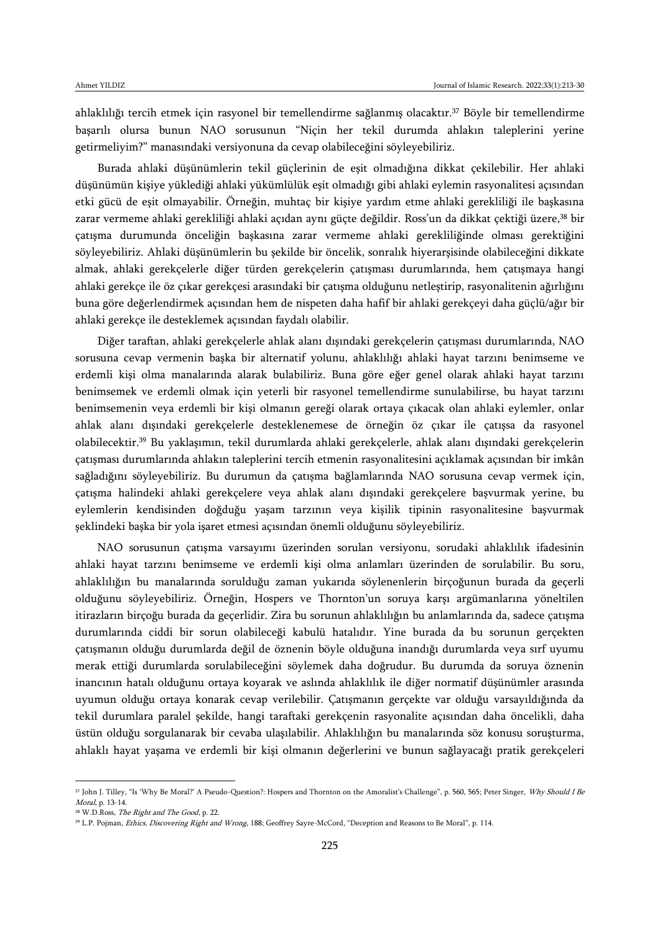ahlaklılığı tercih etmek için rasyonel bir temellendirme sağlanmış olacaktır.<sup>37</sup> Böyle bir temellendirme başarılı olursa bunun NAO sorusunun "Niçin her tekil durumda ahlakın taleplerini yerine getirmeliyim?" manasındaki versiyonuna da cevap olabileceğini söyleyebiliriz.

Burada ahlaki düşünümlerin tekil güçlerinin de eşit olmadığına dikkat çekilebilir. Her ahlaki düşünümün kişiye yüklediği ahlaki yükümlülük eşit olmadığı gibi ahlaki eylemin rasyonalitesi açısından etki gücü de eşit olmayabilir. Örneğin, muhtaç bir kişiye yardım etme ahlaki gerekliliği ile başkasına zarar vermeme ahlaki gerekliliği ahlaki açıdan aynı güçte değildir. Ross'un da dikkat çektiği üzere,<sup>38</sup> bir çatışma durumunda önceliğin başkasına zarar vermeme ahlaki gerekliliğinde olması gerektiğini söyleyebiliriz. Ahlaki düşünümlerin bu şekilde bir öncelik, sonralık hiyerarşisinde olabileceğini dikkate almak, ahlaki gerekçelerle diğer türden gerekçelerin çatışması durumlarında, hem çatışmaya hangi ahlaki gerekçe ile öz çıkar gerekçesi arasındaki bir çatışma olduğunu netleştirip, rasyonalitenin ağırlığını buna göre değerlendirmek açısından hem de nispeten daha hafif bir ahlaki gerekçeyi daha güçlü/ağır bir ahlaki gerekçe ile desteklemek açısından faydalı olabilir.

Diğer taraftan, ahlaki gerekçelerle ahlak alanı dışındaki gerekçelerin çatışması durumlarında, NAO sorusuna cevap vermenin başka bir alternatif yolunu, ahlaklılığı ahlaki hayat tarzını benimseme ve erdemli kişi olma manalarında alarak bulabiliriz. Buna göre eğer genel olarak ahlaki hayat tarzını benimsemek ve erdemli olmak için yeterli bir rasyonel temellendirme sunulabilirse, bu hayat tarzını benimsemenin veya erdemli bir kişi olmanın gereği olarak ortaya çıkacak olan ahlaki eylemler, onlar ahlak alanı dışındaki gerekçelerle desteklenemese de örneğin öz çıkar ile çatışsa da rasyonel olabilecektir.<sup>39</sup> Bu yaklaşımın, tekil durumlarda ahlaki gerekçelerle, ahlak alanı dışındaki gerekçelerin çatışması durumlarında ahlakın taleplerini tercih etmenin rasyonalitesini açıklamak açısından bir imkân sağladığını söyleyebiliriz. Bu durumun da çatışma bağlamlarında NAO sorusuna cevap vermek için, çatışma halindeki ahlaki gerekçelere veya ahlak alanı dışındaki gerekçelere başvurmak yerine, bu eylemlerin kendisinden doğduğu yaşam tarzının veya kişilik tipinin rasyonalitesine başvurmak şeklindeki başka bir yola işaret etmesi açısından önemli olduğunu söyleyebiliriz.

NAO sorusunun çatışma varsayımı üzerinden sorulan versiyonu, sorudaki ahlaklılık ifadesinin ahlaki hayat tarzını benimseme ve erdemli kişi olma anlamları üzerinden de sorulabilir. Bu soru, ahlaklılığın bu manalarında sorulduğu zaman yukarıda söylenenlerin birçoğunun burada da geçerli olduğunu söyleyebiliriz. Örneğin, Hospers ve Thornton'un soruya karşı argümanlarına yöneltilen itirazların birçoğu burada da geçerlidir. Zira bu sorunun ahlaklılığın bu anlamlarında da, sadece çatışma durumlarında ciddi bir sorun olabileceği kabulü hatalıdır. Yine burada da bu sorunun gerçekten çatışmanın olduğu durumlarda değil de öznenin böyle olduğuna inandığı durumlarda veya sırf uyumu merak ettiği durumlarda sorulabileceğini söylemek daha doğrudur. Bu durumda da soruya öznenin inancının hatalı olduğunu ortaya koyarak ve aslında ahlaklılık ile diğer normatif düşünümler arasında uyumun olduğu ortaya konarak cevap verilebilir. Çatışmanın gerçekte var olduğu varsayıldığında da tekil durumlara paralel şekilde, hangi taraftaki gerekçenin rasyonalite açısından daha öncelikli, daha üstün olduğu sorgulanarak bir cevaba ulaşılabilir. Ahlaklılığın bu manalarında söz konusu soruşturma, ahlaklı hayat yaşama ve erdemli bir kişi olmanın değerlerini ve bunun sağlayacağı pratik gerekçeleri

<sup>&</sup>lt;sup>37</sup> John J. Tilley, "Is 'Why Be Moral?' A Pseudo-Question?: Hospers and Thornton on the Amoralist's Challenge", p. 560, 565; Peter Singer, Why Should I Be Moral, p. 13-14.

<sup>&</sup>lt;sup>38</sup> W.D.Ross, *The Right and The Good*, p. 22.

<sup>&</sup>lt;sup>39</sup> L.P. Pojman, *Ethics, Discovering Right and Wrong*, 188; Geoffrey Sayre-McCord, "Deception and Reasons to Be Moral", p. 114.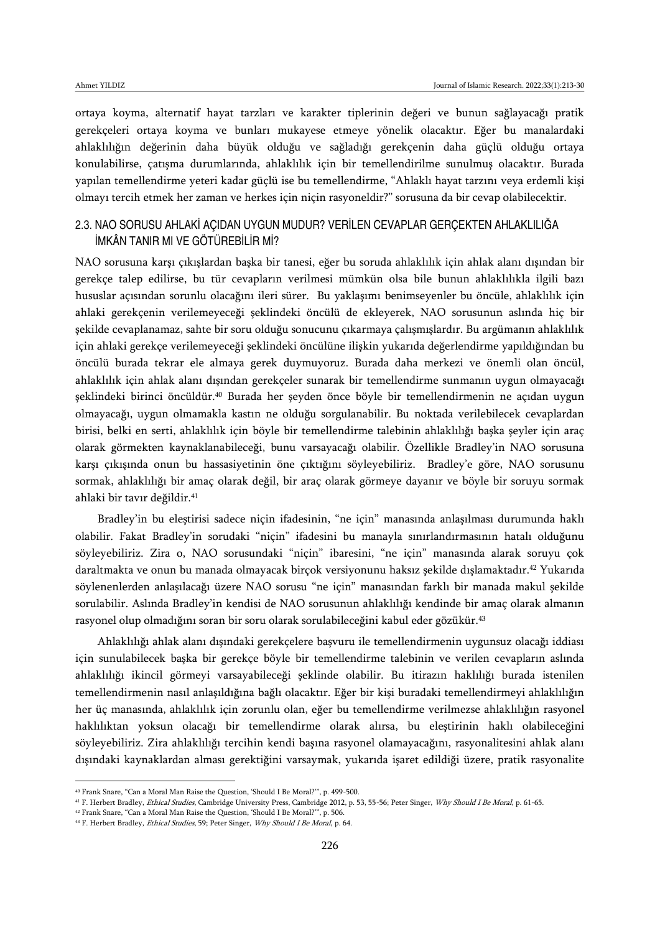ortaya koyma, alternatif hayat tarzları ve karakter tiplerinin değeri ve bunun sağlayacağı pratik gerekçeleri ortaya koyma ve bunları mukayese etmeye yönelik olacaktır. Eğer bu manalardaki ahlaklılığın değerinin daha büyük olduğu ve sağladığı gerekçenin daha güçlü olduğu ortaya konulabilirse, çatışma durumlarında, ahlaklılık için bir temellendirilme sunulmuş olacaktır. Burada yapılan temellendirme yeteri kadar güçlü ise bu temellendirme, "Ahlaklı hayat tarzını veya erdemli kişi olmayı tercih etmek her zaman ve herkes için niçin rasyoneldir?" sorusuna da bir cevap olabilecektir.

### 2.3. NAO SORUSU AHLAKİ AÇIDAN UYGUN MUDUR? VERİLEN CEVAPLAR GERÇEKTEN AHLAKLILIĞA İMKÂN TANIR MI VE GÖTÜREBİLİR Mİ?

NAO sorusuna karşı çıkışlardan başka bir tanesi, eğer bu soruda ahlaklılık için ahlak alanı dışından bir gerekçe talep edilirse, bu tür cevapların verilmesi mümkün olsa bile bunun ahlaklılıkla ilgili bazı hususlar açısından sorunlu olacağını ileri sürer. Bu yaklaşımı benimseyenler bu öncüle, ahlaklılık için ahlaki gerekçenin verilemeyeceği şeklindeki öncülü de ekleyerek, NAO sorusunun aslında hiç bir şekilde cevaplanamaz, sahte bir soru olduğu sonucunu çıkarmaya çalışmışlardır. Bu argümanın ahlaklılık için ahlaki gerekçe verilemeyeceği şeklindeki öncülüne ilişkin yukarıda değerlendirme yapıldığından bu öncülü burada tekrar ele almaya gerek duymuyoruz. Burada daha merkezi ve önemli olan öncül, ahlaklılık için ahlak alanı dışından gerekçeler sunarak bir temellendirme sunmanın uygun olmayacağı şeklindeki birinci öncüldür.<sup>40</sup> Burada her şeyden önce böyle bir temellendirmenin ne açıdan uygun olmayacağı, uygun olmamakla kastın ne olduğu sorgulanabilir. Bu noktada verilebilecek cevaplardan birisi, belki en serti, ahlaklılık için böyle bir temellendirme talebinin ahlaklılığı başka şeyler için araç olarak görmekten kaynaklanabileceği, bunu varsayacağı olabilir. Özellikle Bradley'in NAO sorusuna karşı çıkışında onun bu hassasiyetinin öne çıktığını söyleyebiliriz. Bradley'e göre, NAO sorusunu sormak, ahlaklılığı bir amaç olarak değil, bir araç olarak görmeye dayanır ve böyle bir soruyu sormak ahlaki bir tavır değildir.<sup>41</sup>

Bradley'in bu eleştirisi sadece niçin ifadesinin, "ne için" manasında anlaşılması durumunda haklı olabilir. Fakat Bradley'in sorudaki "niçin" ifadesini bu manayla sınırlandırmasının hatalı olduğunu söyleyebiliriz. Zira o, NAO sorusundaki "niçin" ibaresini, "ne için" manasında alarak soruyu çok daraltmakta ve onun bu manada olmayacak birçok versiyonunu haksız şekilde dışlamaktadır.<sup>42</sup> Yukarıda söylenenlerden anlaşılacağı üzere NAO sorusu "ne için" manasından farklı bir manada makul şekilde sorulabilir. Aslında Bradley'in kendisi de NAO sorusunun ahlaklılığı kendinde bir amaç olarak almanın rasyonel olup olmadığını soran bir soru olarak sorulabileceğini kabul eder gözükür.<sup>43</sup>

Ahlaklılığı ahlak alanı dışındaki gerekçelere başvuru ile temellendirmenin uygunsuz olacağı iddiası için sunulabilecek başka bir gerekçe böyle bir temellendirme talebinin ve verilen cevapların aslında ahlaklılığı ikincil görmeyi varsayabileceği şeklinde olabilir. Bu itirazın haklılığı burada istenilen temellendirmenin nasıl anlaşıldığına bağlı olacaktır. Eğer bir kişi buradaki temellendirmeyi ahlaklılığın her üç manasında, ahlaklılık için zorunlu olan, eğer bu temellendirme verilmezse ahlaklılığın rasyonel haklılıktan yoksun olacağı bir temellendirme olarak alırsa, bu eleştirinin haklı olabileceğini söyleyebiliriz. Zira ahlaklılığı tercihin kendi başına rasyonel olamayacağını, rasyonalitesini ahlak alanı dışındaki kaynaklardan alması gerektiğini varsaymak, yukarıda işaret edildiği üzere, pratik rasyonalite

<sup>40</sup> Frank Snare, "Can a Moral Man Raise the Question, 'Should I Be Moral?'", p. 499-500.

<sup>&</sup>lt;sup>41</sup> F. Herbert Bradley, Ethical Studies, Cambridge University Press, Cambridge 2012, p. 53, 55-56; Peter Singer, Why Should I Be Moral, p. 61-65.

<sup>42</sup> Frank Snare, "Can a Moral Man Raise the Question, 'Should I Be Moral?'", p. 506.

<sup>&</sup>lt;sup>43</sup> F. Herbert Bradley, *Ethical Studies*, 59; Peter Singer, *Why Should I Be Moral*, p. 64.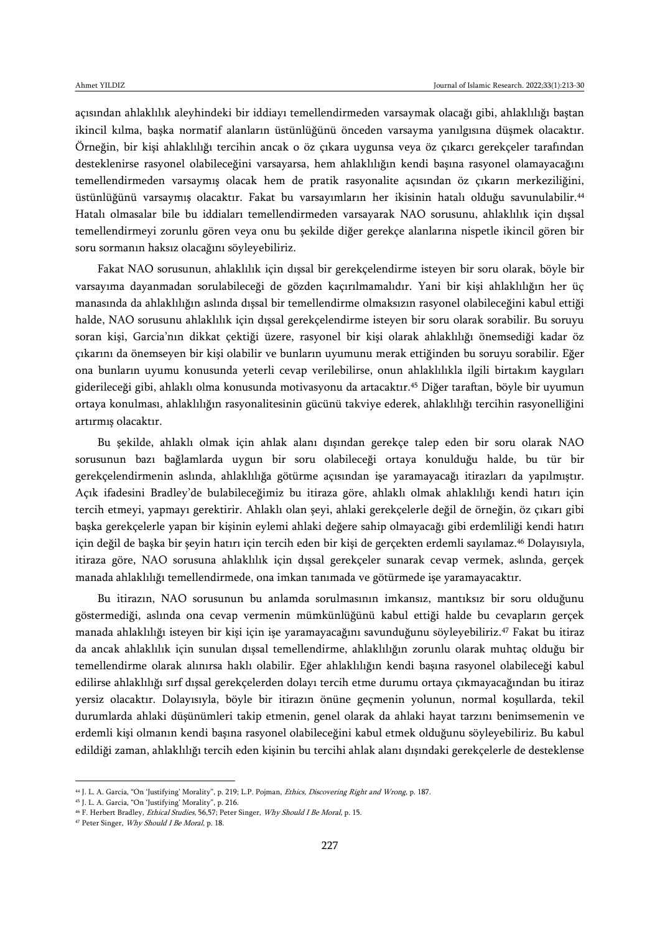açısından ahlaklılık aleyhindeki bir iddiayı temellendirmeden varsaymak olacağı gibi, ahlaklılığı baştan ikincil kılma, başka normatif alanların üstünlüğünü önceden varsayma yanılgısına düşmek olacaktır. Örneğin, bir kişi ahlaklılığı tercihin ancak o öz çıkara uygunsa veya öz çıkarcı gerekçeler tarafından desteklenirse rasyonel olabileceğini varsayarsa, hem ahlaklılığın kendi başına rasyonel olamayacağını temellendirmeden varsaymış olacak hem de pratik rasyonalite açısından öz çıkarın merkeziliğini, üstünlüğünü varsaymış olacaktır. Fakat bu varsayımların her ikisinin hatalı olduğu savunulabilir.<sup>44</sup> Hatalı olmasalar bile bu iddiaları temellendirmeden varsayarak NAO sorusunu, ahlaklılık için dışsal temellendirmeyi zorunlu gören veya onu bu şekilde diğer gerekçe alanlarına nispetle ikincil gören bir soru sormanın haksız olacağını söyleyebiliriz.

Fakat NAO sorusunun, ahlaklılık için dışsal bir gerekçelendirme isteyen bir soru olarak, böyle bir varsayıma dayanmadan sorulabileceği de gözden kaçırılmamalıdır. Yani bir kişi ahlaklılığın her üç manasında da ahlaklılığın aslında dışsal bir temellendirme olmaksızın rasyonel olabileceğini kabul ettiği halde, NAO sorusunu ahlaklılık için dışsal gerekçelendirme isteyen bir soru olarak sorabilir. Bu soruyu soran kişi, Garcia'nın dikkat çektiği üzere, rasyonel bir kişi olarak ahlaklılığı önemsediği kadar öz çıkarını da önemseyen bir kişi olabilir ve bunların uyumunu merak ettiğinden bu soruyu sorabilir. Eğer ona bunların uyumu konusunda yeterli cevap verilebilirse, onun ahlaklılıkla ilgili birtakım kaygıları giderileceği gibi, ahlaklı olma konusunda motivasyonu da artacaktır.<sup>45</sup> Diğer taraftan, böyle bir uyumun ortaya konulması, ahlaklılığın rasyonalitesinin gücünü takviye ederek, ahlaklılığı tercihin rasyonelliğini artırmış olacaktır.

Bu şekilde, ahlaklı olmak için ahlak alanı dışından gerekçe talep eden bir soru olarak NAO sorusunun bazı bağlamlarda uygun bir soru olabileceği ortaya konulduğu halde, bu tür bir gerekçelendirmenin aslında, ahlaklılığa götürme açısından işe yaramayacağı itirazları da yapılmıştır. Açık ifadesini Bradley'de bulabileceğimiz bu itiraza göre, ahlaklı olmak ahlaklılığı kendi hatırı için tercih etmeyi, yapmayı gerektirir. Ahlaklı olan şeyi, ahlaki gerekçelerle değil de örneğin, öz çıkarı gibi başka gerekçelerle yapan bir kişinin eylemi ahlaki değere sahip olmayacağı gibi erdemliliği kendi hatırı için değil de başka bir şeyin hatırı için tercih eden bir kişi de gerçekten erdemli sayılamaz.<sup>46</sup> Dolayısıyla, itiraza göre, NAO sorusuna ahlaklılık için dışsal gerekçeler sunarak cevap vermek, aslında, gerçek manada ahlaklılığı temellendirmede, ona imkan tanımada ve götürmede işe yaramayacaktır.

Bu itirazın, NAO sorusunun bu anlamda sorulmasının imkansız, mantıksız bir soru olduğunu göstermediği, aslında ona cevap vermenin mümkünlüğünü kabul ettiği halde bu cevapların gerçek manada ahlaklılığı isteyen bir kişi için işe yaramayacağını savunduğunu söyleyebiliriz.<sup>47</sup> Fakat bu itiraz da ancak ahlaklılık için sunulan dışsal temellendirme, ahlaklılığın zorunlu olarak muhtaç olduğu bir temellendirme olarak alınırsa haklı olabilir. Eğer ahlaklılığın kendi başına rasyonel olabileceği kabul edilirse ahlaklılığı sırf dışsal gerekçelerden dolayı tercih etme durumu ortaya çıkmayacağından bu itiraz yersiz olacaktır. Dolayısıyla, böyle bir itirazın önüne geçmenin yolunun, normal koşullarda, tekil durumlarda ahlaki düşünümleri takip etmenin, genel olarak da ahlaki hayat tarzını benimsemenin ve erdemli kişi olmanın kendi başına rasyonel olabileceğini kabul etmek olduğunu söyleyebiliriz. Bu kabul edildiği zaman, ahlaklılığı tercih eden kişinin bu tercihi ahlak alanı dışındaki gerekçelerle de desteklense

<sup>&</sup>lt;sup>44</sup> J. L. A. Garcia, "On 'Justifying' Morality", p. 219; L.P. Pojman, *Ethics, Discovering Right and Wrong*, p. 187.

<sup>45</sup> J. L. A. Garcia, "On 'Justifying' Morality", p. 216.

<sup>46</sup> F. Herbert Bradley, Ethical Studies, 56,57; Peter Singer, Why Should I Be Moral, p. 15.

<sup>47</sup> Peter Singer, Why Should I Be Moral, p. 18.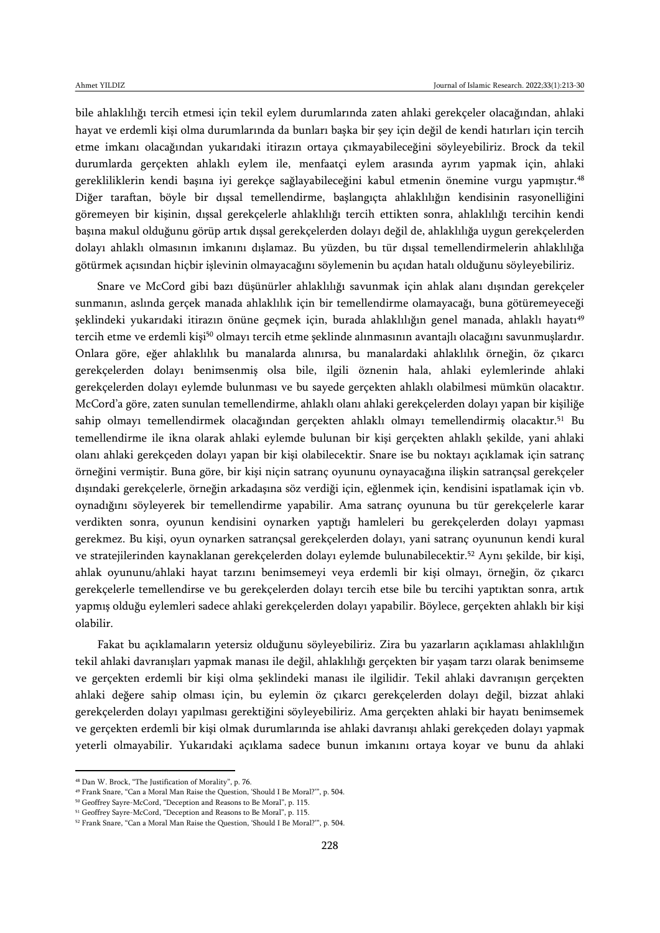bile ahlaklılığı tercih etmesi için tekil eylem durumlarında zaten ahlaki gerekçeler olacağından, ahlaki hayat ve erdemli kişi olma durumlarında da bunları başka bir şey için değil de kendi hatırları için tercih etme imkanı olacağından yukarıdaki itirazın ortaya çıkmayabileceğini söyleyebiliriz. Brock da tekil durumlarda gerçekten ahlaklı eylem ile, menfaatçi eylem arasında ayrım yapmak için, ahlaki gerekliliklerin kendi başına iyi gerekçe sağlayabileceğini kabul etmenin önemine vurgu yapmıştır.<sup>48</sup> Diğer taraftan, böyle bir dışsal temellendirme, başlangıçta ahlaklılığın kendisinin rasyonelliğini göremeyen bir kişinin, dışsal gerekçelerle ahlaklılığı tercih ettikten sonra, ahlaklılığı tercihin kendi başına makul olduğunu görüp artık dışsal gerekçelerden dolayı değil de, ahlaklılığa uygun gerekçelerden dolayı ahlaklı olmasının imkanını dışlamaz. Bu yüzden, bu tür dışsal temellendirmelerin ahlaklılığa götürmek açısından hiçbir işlevinin olmayacağını söylemenin bu açıdan hatalı olduğunu söyleyebiliriz.

Snare ve McCord gibi bazı düşünürler ahlaklılığı savunmak için ahlak alanı dışından gerekçeler sunmanın, aslında gerçek manada ahlaklılık için bir temellendirme olamayacağı, buna götüremeyeceği şeklindeki yukarıdaki itirazın önüne geçmek için, burada ahlaklılığın genel manada, ahlaklı hayatı<sup>49</sup> tercih etme ve erdemli kişi<sup>50</sup> olmayı tercih etme şeklinde alınmasının avantajlı olacağını savunmuşlardır. Onlara göre, eğer ahlaklılık bu manalarda alınırsa, bu manalardaki ahlaklılık örneğin, öz çıkarcı gerekçelerden dolayı benimsenmiş olsa bile, ilgili öznenin hala, ahlaki eylemlerinde ahlaki gerekçelerden dolayı eylemde bulunması ve bu sayede gerçekten ahlaklı olabilmesi mümkün olacaktır. McCord'a göre, zaten sunulan temellendirme, ahlaklı olanı ahlaki gerekçelerden dolayı yapan bir kişiliğe sahip olmayı temellendirmek olacağından gerçekten ahlaklı olmayı temellendirmiş olacaktır.<sup>51</sup> Bu temellendirme ile ikna olarak ahlaki eylemde bulunan bir kişi gerçekten ahlaklı şekilde, yani ahlaki olanı ahlaki gerekçeden dolayı yapan bir kişi olabilecektir. Snare ise bu noktayı açıklamak için satranç örneğini vermiştir. Buna göre, bir kişi niçin satranç oyununu oynayacağına ilişkin satrançsal gerekçeler dışındaki gerekçelerle, örneğin arkadaşına söz verdiği için, eğlenmek için, kendisini ispatlamak için vb. oynadığını söyleyerek bir temellendirme yapabilir. Ama satranç oyununa bu tür gerekçelerle karar verdikten sonra, oyunun kendisini oynarken yaptığı hamleleri bu gerekçelerden dolayı yapması gerekmez. Bu kişi, oyun oynarken satrançsal gerekçelerden dolayı, yani satranç oyununun kendi kural ve stratejilerinden kaynaklanan gerekçelerden dolayı eylemde bulunabilecektir.<sup>52</sup> Aynı şekilde, bir kişi, ahlak oyununu/ahlaki hayat tarzını benimsemeyi veya erdemli bir kişi olmayı, örneğin, öz çıkarcı gerekçelerle temellendirse ve bu gerekçelerden dolayı tercih etse bile bu tercihi yaptıktan sonra, artık yapmış olduğu eylemleri sadece ahlaki gerekçelerden dolayı yapabilir. Böylece, gerçekten ahlaklı bir kişi olabilir.

Fakat bu açıklamaların yetersiz olduğunu söyleyebiliriz. Zira bu yazarların açıklaması ahlaklılığın tekil ahlaki davranışları yapmak manası ile değil, ahlaklılığı gerçekten bir yaşam tarzı olarak benimseme ve gerçekten erdemli bir kişi olma şeklindeki manası ile ilgilidir. Tekil ahlaki davranışın gerçekten ahlaki değere sahip olması için, bu eylemin öz çıkarcı gerekçelerden dolayı değil, bizzat ahlaki gerekçelerden dolayı yapılması gerektiğini söyleyebiliriz. Ama gerçekten ahlaki bir hayatı benimsemek ve gerçekten erdemli bir kişi olmak durumlarında ise ahlaki davranışı ahlaki gerekçeden dolayı yapmak yeterli olmayabilir. Yukarıdaki açıklama sadece bunun imkanını ortaya koyar ve bunu da ahlaki

<sup>48</sup> Dan W. Brock, "The Justification of Morality", p. 76.

<sup>49</sup> Frank Snare, "Can a Moral Man Raise the Question, 'Should I Be Moral?'", p. 504.

<sup>50</sup> Geoffrey Sayre-McCord, "Deception and Reasons to Be Moral", p. 115.

<sup>51</sup> Geoffrey Sayre-McCord, "Deception and Reasons to Be Moral", p. 115.

<sup>52</sup> Frank Snare, "Can a Moral Man Raise the Question, 'Should I Be Moral?'", p. 504.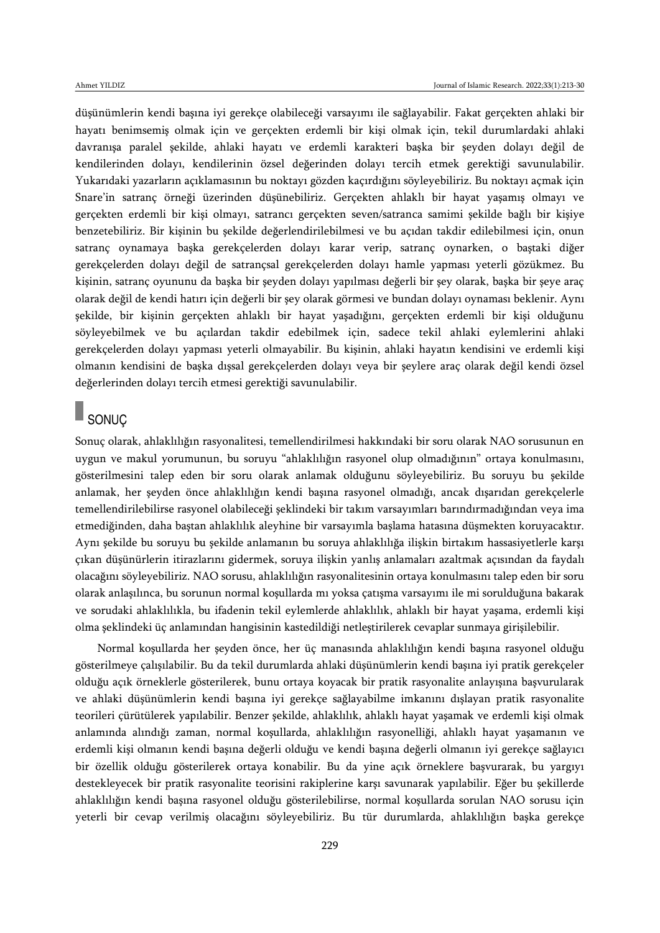düşünümlerin kendi başına iyi gerekçe olabileceği varsayımı ile sağlayabilir. Fakat gerçekten ahlaki bir hayatı benimsemiş olmak için ve gerçekten erdemli bir kişi olmak için, tekil durumlardaki ahlaki davranışa paralel şekilde, ahlaki hayatı ve erdemli karakteri başka bir şeyden dolayı değil de kendilerinden dolayı, kendilerinin özsel değerinden dolayı tercih etmek gerektiği savunulabilir. Yukarıdaki yazarların açıklamasının bu noktayı gözden kaçırdığını söyleyebiliriz. Bu noktayı açmak için Snare'in satranç örneği üzerinden düşünebiliriz. Gerçekten ahlaklı bir hayat yaşamış olmayı ve gerçekten erdemli bir kişi olmayı, satrancı gerçekten seven/satranca samimi şekilde bağlı bir kişiye benzetebiliriz. Bir kişinin bu şekilde değerlendirilebilmesi ve bu açıdan takdir edilebilmesi için, onun satranç oynamaya başka gerekçelerden dolayı karar verip, satranç oynarken, o baştaki diğer gerekçelerden dolayı değil de satrançsal gerekçelerden dolayı hamle yapması yeterli gözükmez. Bu kişinin, satranç oyununu da başka bir şeyden dolayı yapılması değerli bir şey olarak, başka bir şeye araç olarak değil de kendi hatırı için değerli bir şey olarak görmesi ve bundan dolayı oynaması beklenir. Aynı şekilde, bir kişinin gerçekten ahlaklı bir hayat yaşadığını, gerçekten erdemli bir kişi olduğunu söyleyebilmek ve bu açılardan takdir edebilmek için, sadece tekil ahlaki eylemlerini ahlaki gerekçelerden dolayı yapması yeterli olmayabilir. Bu kişinin, ahlaki hayatın kendisini ve erdemli kişi olmanın kendisini de başka dışsal gerekçelerden dolayı veya bir şeylere araç olarak değil kendi özsel değerlerinden dolayı tercih etmesi gerektiği savunulabilir.

# SONUÇ

Sonuç olarak, ahlaklılığın rasyonalitesi, temellendirilmesi hakkındaki bir soru olarak NAO sorusunun en uygun ve makul yorumunun, bu soruyu "ahlaklılığın rasyonel olup olmadığının" ortaya konulmasını, gösterilmesini talep eden bir soru olarak anlamak olduğunu söyleyebiliriz. Bu soruyu bu şekilde anlamak, her şeyden önce ahlaklılığın kendi başına rasyonel olmadığı, ancak dışarıdan gerekçelerle temellendirilebilirse rasyonel olabileceği şeklindeki bir takım varsayımları barındırmadığından veya ima etmediğinden, daha baştan ahlaklılık aleyhine bir varsayımla başlama hatasına düşmekten koruyacaktır. Aynı şekilde bu soruyu bu şekilde anlamanın bu soruya ahlaklılığa ilişkin birtakım hassasiyetlerle karşı çıkan düşünürlerin itirazlarını gidermek, soruya ilişkin yanlış anlamaları azaltmak açısından da faydalı olacağını söyleyebiliriz. NAO sorusu, ahlaklılığın rasyonalitesinin ortaya konulmasını talep eden bir soru olarak anlaşılınca, bu sorunun normal koşullarda mı yoksa çatışma varsayımı ile mi sorulduğuna bakarak ve sorudaki ahlaklılıkla, bu ifadenin tekil eylemlerde ahlaklılık, ahlaklı bir hayat yaşama, erdemli kişi olma şeklindeki üç anlamından hangisinin kastedildiği netleştirilerek cevaplar sunmaya girişilebilir.

Normal koşullarda her şeyden önce, her üç manasında ahlaklılığın kendi başına rasyonel olduğu gösterilmeye çalışılabilir. Bu da tekil durumlarda ahlaki düşünümlerin kendi başına iyi pratik gerekçeler olduğu açık örneklerle gösterilerek, bunu ortaya koyacak bir pratik rasyonalite anlayışına başvurularak ve ahlaki düşünümlerin kendi başına iyi gerekçe sağlayabilme imkanını dışlayan pratik rasyonalite teorileri çürütülerek yapılabilir. Benzer şekilde, ahlaklılık, ahlaklı hayat yaşamak ve erdemli kişi olmak anlamında alındığı zaman, normal koşullarda, ahlaklılığın rasyonelliği, ahlaklı hayat yaşamanın ve erdemli kişi olmanın kendi başına değerli olduğu ve kendi başına değerli olmanın iyi gerekçe sağlayıcı bir özellik olduğu gösterilerek ortaya konabilir. Bu da yine açık örneklere başvurarak, bu yargıyı destekleyecek bir pratik rasyonalite teorisini rakiplerine karşı savunarak yapılabilir. Eğer bu şekillerde ahlaklılığın kendi başına rasyonel olduğu gösterilebilirse, normal koşullarda sorulan NAO sorusu için yeterli bir cevap verilmiş olacağını söyleyebiliriz. Bu tür durumlarda, ahlaklılığın başka gerekçe